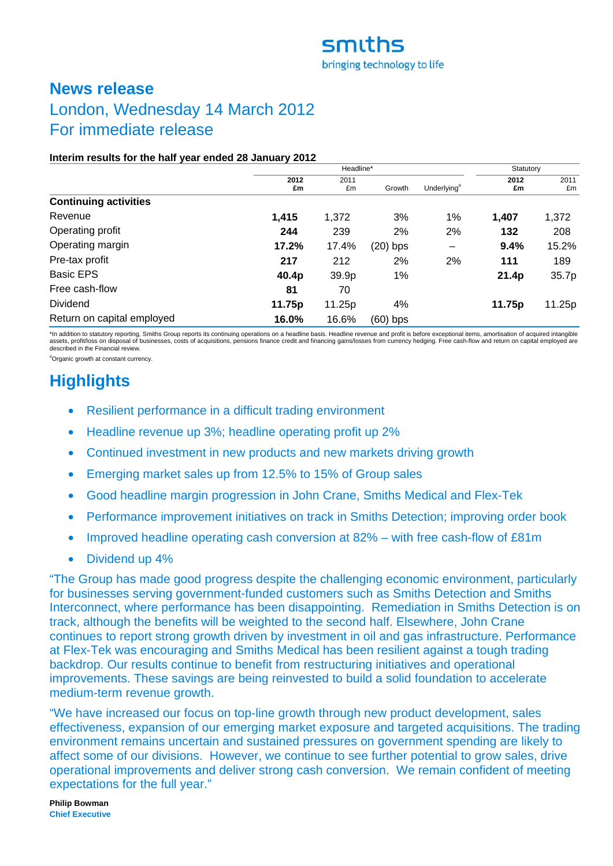# **News release**  London, Wednesday 14 March 2012 For immediate release

# **Interim results for the half year ended 28 January 2012**

|                              |        | Headline* |            |                |        | Statutory |
|------------------------------|--------|-----------|------------|----------------|--------|-----------|
|                              | 2012   | 2011      |            |                | 2012   | 2011      |
|                              | £m     | £m        | Growth     | Underlying $*$ | £m     | £m        |
| <b>Continuing activities</b> |        |           |            |                |        |           |
| Revenue                      | 1,415  | 1,372     | 3%         | 1%             | 1,407  | 1,372     |
| Operating profit             | 244    | 239       | 2%         | 2%             | 132    | 208       |
| Operating margin             | 17.2%  | 17.4%     | (20) bps   |                | 9.4%   | 15.2%     |
| Pre-tax profit               | 217    | 212       | 2%         | 2%             | 111    | 189       |
| <b>Basic EPS</b>             | 40.4p  | 39.9p     | 1%         |                | 21.4p  | 35.7p     |
| Free cash-flow               | 81     | 70        |            |                |        |           |
| <b>Dividend</b>              | 11.75p | 11.25p    | 4%         |                | 11.75p | 11.25p    |
| Return on capital employed   | 16.0%  | 16.6%     | $(60)$ bps |                |        |           |

\*In addition to statutory reporting, Smiths Group reports its continuing operations on a headline basis. Headline revenue and profit is before exceptional items, amortisation of acquired intangible<br>assets, profit/loss on d described in the Financial review.

# Organic growth at constant currency.

# **Highlights**

- Resilient performance in a difficult trading environment
- Headline revenue up 3%; headline operating profit up 2%
- Continued investment in new products and new markets driving growth
- Emerging market sales up from 12.5% to 15% of Group sales
- Good headline margin progression in John Crane, Smiths Medical and Flex-Tek
- Performance improvement initiatives on track in Smiths Detection: improving order book
- Improved headline operating cash conversion at 82% with free cash-flow of £81m
- Dividend up 4%

"The Group has made good progress despite the challenging economic environment, particularly for businesses serving government-funded customers such as Smiths Detection and Smiths Interconnect, where performance has been disappointing. Remediation in Smiths Detection is on track, although the benefits will be weighted to the second half. Elsewhere, John Crane continues to report strong growth driven by investment in oil and gas infrastructure. Performance at Flex-Tek was encouraging and Smiths Medical has been resilient against a tough trading backdrop. Our results continue to benefit from restructuring initiatives and operational improvements. These savings are being reinvested to build a solid foundation to accelerate medium-term revenue growth.

"We have increased our focus on top-line growth through new product development, sales effectiveness, expansion of our emerging market exposure and targeted acquisitions. The trading environment remains uncertain and sustained pressures on government spending are likely to affect some of our divisions. However, we continue to see further potential to grow sales, drive operational improvements and deliver strong cash conversion. We remain confident of meeting expectations for the full year."

**Philip Bowman Chief Executive**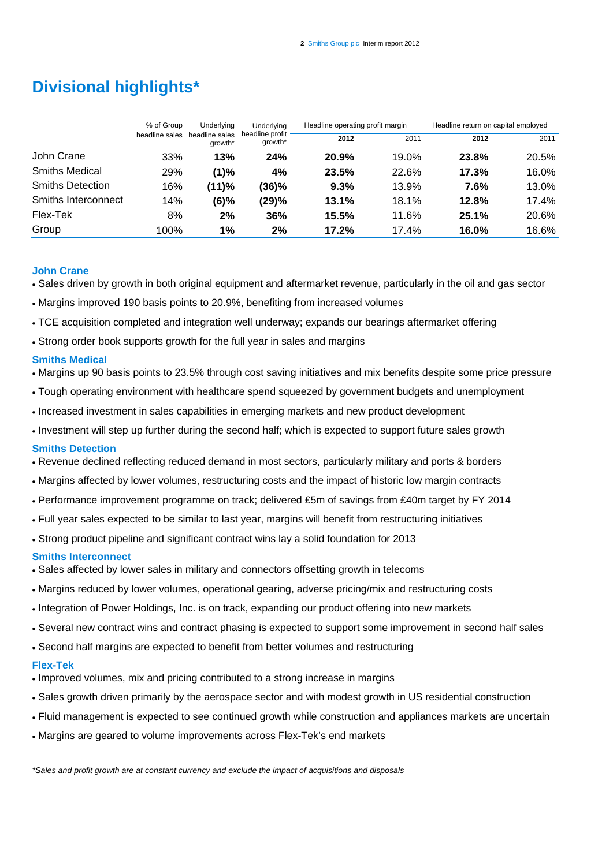# **Divisional highlights\***

|                         | % of Group     | Underlying                | <b>Underlying</b><br>Headline operating profit margin<br>Headline return on capital employed |       |       |       |       |
|-------------------------|----------------|---------------------------|----------------------------------------------------------------------------------------------|-------|-------|-------|-------|
|                         | headline sales | headline sales<br>growth* | headline profit<br>growth*                                                                   | 2012  | 2011  | 2012  | 2011  |
| John Crane              | 33%            | 13%                       | 24%                                                                                          | 20.9% | 19.0% | 23.8% | 20.5% |
| <b>Smiths Medical</b>   | 29%            | (1)%                      | 4%                                                                                           | 23.5% | 22.6% | 17.3% | 16.0% |
| <b>Smiths Detection</b> | 16%            | (11)%                     | (36)%                                                                                        | 9.3%  | 13.9% | 7.6%  | 13.0% |
| Smiths Interconnect     | 14%            | $(6)\%$                   | (29)%                                                                                        | 13.1% | 18.1% | 12.8% | 17.4% |
| Flex-Tek                | 8%             | 2%                        | 36%                                                                                          | 15.5% | 11.6% | 25.1% | 20.6% |
| Group                   | 100%           | 1%                        | 2%                                                                                           | 17.2% | 17.4% | 16.0% | 16.6% |

#### **John Crane**

- Sales driven by growth in both original equipment and aftermarket revenue, particularly in the oil and gas sector
- Margins improved 190 basis points to 20.9%, benefiting from increased volumes
- TCE acquisition completed and integration well underway; expands our bearings aftermarket offering
- Strong order book supports growth for the full year in sales and margins

#### **Smiths Medical**

- Margins up 90 basis points to 23.5% through cost saving initiatives and mix benefits despite some price pressure
- Tough operating environment with healthcare spend squeezed by government budgets and unemployment
- Increased investment in sales capabilities in emerging markets and new product development
- Investment will step up further during the second half; which is expected to support future sales growth

#### **Smiths Detection**

- Revenue declined reflecting reduced demand in most sectors, particularly military and ports & borders
- Margins affected by lower volumes, restructuring costs and the impact of historic low margin contracts
- Performance improvement programme on track; delivered £5m of savings from £40m target by FY 2014
- Full year sales expected to be similar to last year, margins will benefit from restructuring initiatives
- Strong product pipeline and significant contract wins lay a solid foundation for 2013

#### **Smiths Interconnect**

- Sales affected by lower sales in military and connectors offsetting growth in telecoms
- Margins reduced by lower volumes, operational gearing, adverse pricing/mix and restructuring costs
- Integration of Power Holdings, Inc. is on track, expanding our product offering into new markets
- Several new contract wins and contract phasing is expected to support some improvement in second half sales
- Second half margins are expected to benefit from better volumes and restructuring

#### **Flex-Tek**

- Improved volumes, mix and pricing contributed to a strong increase in margins
- Sales growth driven primarily by the aerospace sector and with modest growth in US residential construction
- Fluid management is expected to see continued growth while construction and appliances markets are uncertain
- Margins are geared to volume improvements across Flex-Tek's end markets

*\*Sales and profit growth are at constant currency and exclude the impact of acquisitions and disposals*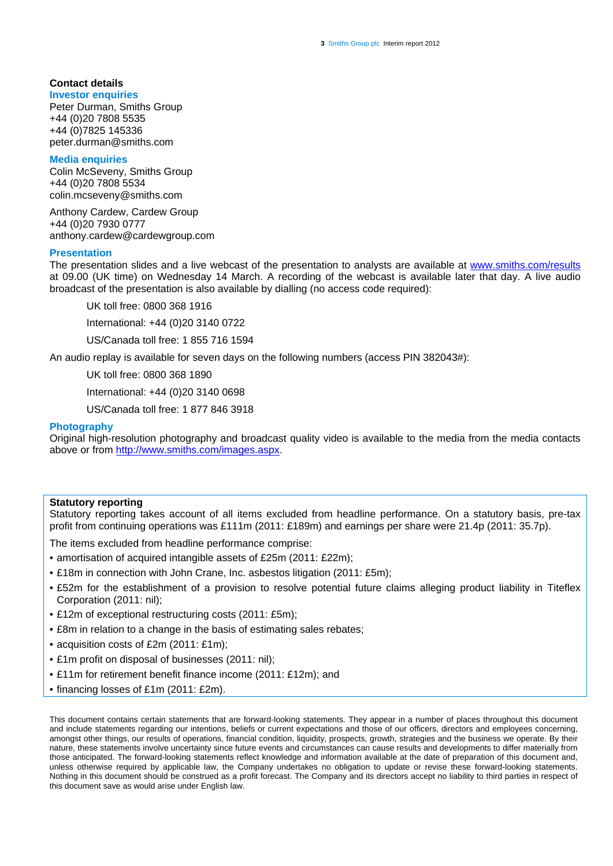# **Contact details**

**Investor enquiries**  Peter Durman, Smiths Group +44 (0)20 7808 5535 +44 (0)7825 145336 peter.durman@smiths.com

#### **Media enquiries**

Colin McSeveny, Smiths Group +44 (0)20 7808 5534 colin.mcseveny@smiths.com

Anthony Cardew, Cardew Group +44 (0)20 7930 0777 anthony.cardew@cardewgroup.com

#### **Presentation**

The presentation slides and a live webcast of the presentation to analysts are available at [www.smiths.com/results](http://www.smiths.com/results) at 09.00 (UK time) on Wednesday 14 March. A recording of the webcast is available later that day. A live audio broadcast of the presentation is also available by dialling (no access code required):

UK toll free: 0800 368 1916

International: +44 (0)20 3140 0722

US/Canada toll free: 1 855 716 1594

An audio replay is available for seven days on the following numbers (access PIN 382043#):

UK toll free: 0800 368 1890

International: +44 (0)20 3140 0698

US/Canada toll free: 1 877 846 3918

#### **Photography**

Original high-resolution photography and broadcast quality video is available to the media from the media contacts above or from [http://www.smiths.com/images.aspx.](http://www.smiths.com/images.aspx)

#### **Statutory reporting**

Statutory reporting takes account of all items excluded from headline performance. On a statutory basis, pre-tax profit from continuing operations was £111m (2011: £189m) and earnings per share were 21.4p (2011: 35.7p).

The items excluded from headline performance comprise:

- amortisation of acquired intangible assets of £25m (2011: £22m);
- £18m in connection with John Crane, Inc. asbestos litigation (2011: £5m);
- £52m for the establishment of a provision to resolve potential future claims alleging product liability in Titeflex Corporation (2011: nil);
- £12m of exceptional restructuring costs (2011: £5m);
- £8m in relation to a change in the basis of estimating sales rebates;
- acquisition costs of £2m (2011: £1m);
- £1m profit on disposal of businesses (2011: nil);
- £11m for retirement benefit finance income (2011: £12m); and
- financing losses of £1m (2011: £2m).

This document contains certain statements that are forward-looking statements. They appear in a number of places throughout this document and include statements regarding our intentions, beliefs or current expectations and those of our officers, directors and employees concerning, amongst other things, our results of operations, financial condition, liquidity, prospects, growth, strategies and the business we operate. By their nature, these statements involve uncertainty since future events and circumstances can cause results and developments to differ materially from those anticipated. The forward-looking statements reflect knowledge and information available at the date of preparation of this document and, unless otherwise required by applicable law, the Company undertakes no obligation to update or revise these forward-looking statements. Nothing in this document should be construed as a profit forecast. The Company and its directors accept no liability to third parties in respect of this document save as would arise under English law.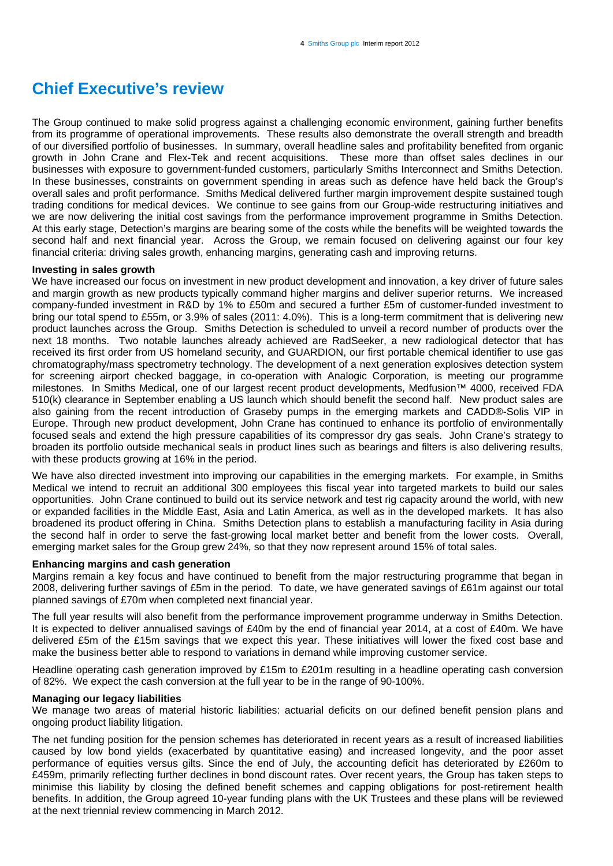# **Chief Executive's review**

The Group continued to make solid progress against a challenging economic environment, gaining further benefits from its programme of operational improvements. These results also demonstrate the overall strength and breadth of our diversified portfolio of businesses. In summary, overall headline sales and profitability benefited from organic growth in John Crane and Flex-Tek and recent acquisitions. These more than offset sales declines in our businesses with exposure to government-funded customers, particularly Smiths Interconnect and Smiths Detection. In these businesses, constraints on government spending in areas such as defence have held back the Group's overall sales and profit performance. Smiths Medical delivered further margin improvement despite sustained tough trading conditions for medical devices. We continue to see gains from our Group-wide restructuring initiatives and we are now delivering the initial cost savings from the performance improvement programme in Smiths Detection. At this early stage, Detection's margins are bearing some of the costs while the benefits will be weighted towards the second half and next financial year. Across the Group, we remain focused on delivering against our four key financial criteria: driving sales growth, enhancing margins, generating cash and improving returns.

### **Investing in sales growth**

We have increased our focus on investment in new product development and innovation, a key driver of future sales and margin growth as new products typically command higher margins and deliver superior returns. We increased company-funded investment in R&D by 1% to £50m and secured a further £5m of customer-funded investment to bring our total spend to £55m, or 3.9% of sales (2011: 4.0%). This is a long-term commitment that is delivering new product launches across the Group. Smiths Detection is scheduled to unveil a record number of products over the next 18 months. Two notable launches already achieved are RadSeeker, a new radiological detector that has received its first order from US homeland security, and GUARDION, our first portable chemical identifier to use gas chromatography/mass spectrometry technology. The development of a next generation explosives detection system for screening airport checked baggage, in co-operation with Analogic Corporation, is meeting our programme milestones. In Smiths Medical, one of our largest recent product developments, Medfusion™ 4000, received FDA 510(k) clearance in September enabling a US launch which should benefit the second half. New product sales are also gaining from the recent introduction of Graseby pumps in the emerging markets and CADD®-Solis VIP in Europe. Through new product development, John Crane has continued to enhance its portfolio of environmentally focused seals and extend the high pressure capabilities of its compressor dry gas seals. John Crane's strategy to broaden its portfolio outside mechanical seals in product lines such as bearings and filters is also delivering results, with these products growing at 16% in the period.

We have also directed investment into improving our capabilities in the emerging markets. For example, in Smiths Medical we intend to recruit an additional 300 employees this fiscal year into targeted markets to build our sales opportunities. John Crane continued to build out its service network and test rig capacity around the world, with new or expanded facilities in the Middle East, Asia and Latin America, as well as in the developed markets. It has also broadened its product offering in China. Smiths Detection plans to establish a manufacturing facility in Asia during the second half in order to serve the fast-growing local market better and benefit from the lower costs. Overall, emerging market sales for the Group grew 24%, so that they now represent around 15% of total sales.

#### **Enhancing margins and cash generation**

Margins remain a key focus and have continued to benefit from the major restructuring programme that began in 2008, delivering further savings of £5m in the period. To date, we have generated savings of £61m against our total planned savings of £70m when completed next financial year.

The full year results will also benefit from the performance improvement programme underway in Smiths Detection. It is expected to deliver annualised savings of £40m by the end of financial year 2014, at a cost of £40m. We have delivered £5m of the £15m savings that we expect this year. These initiatives will lower the fixed cost base and make the business better able to respond to variations in demand while improving customer service.

Headline operating cash generation improved by £15m to £201m resulting in a headline operating cash conversion of 82%. We expect the cash conversion at the full year to be in the range of 90-100%.

#### **Managing our legacy liabilities**

We manage two areas of material historic liabilities: actuarial deficits on our defined benefit pension plans and ongoing product liability litigation.

The net funding position for the pension schemes has deteriorated in recent years as a result of increased liabilities caused by low bond yields (exacerbated by quantitative easing) and increased longevity, and the poor asset performance of equities versus gilts. Since the end of July, the accounting deficit has deteriorated by £260m to £459m, primarily reflecting further declines in bond discount rates. Over recent years, the Group has taken steps to minimise this liability by closing the defined benefit schemes and capping obligations for post-retirement health benefits. In addition, the Group agreed 10-year funding plans with the UK Trustees and these plans will be reviewed at the next triennial review commencing in March 2012.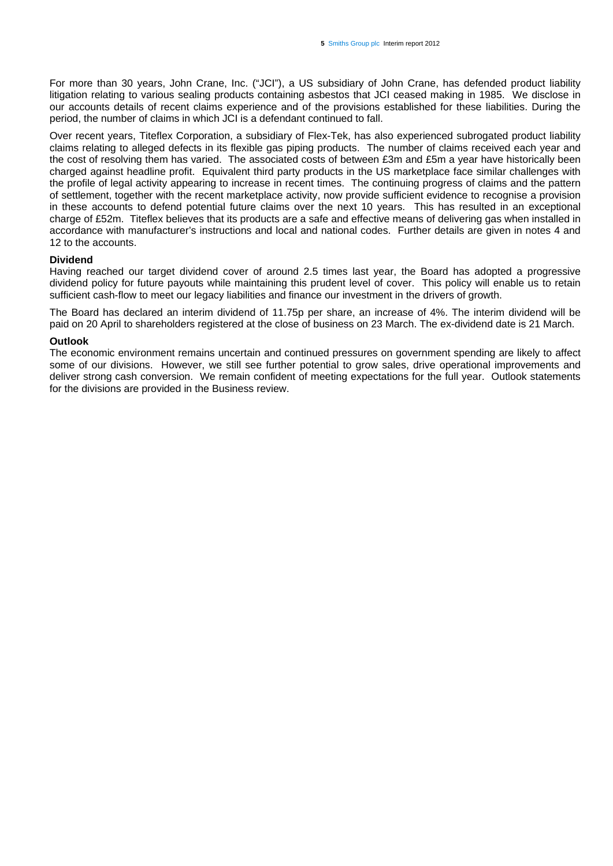For more than 30 years, John Crane, Inc. ("JCI"), a US subsidiary of John Crane, has defended product liability litigation relating to various sealing products containing asbestos that JCI ceased making in 1985. We disclose in our accounts details of recent claims experience and of the provisions established for these liabilities. During the period, the number of claims in which JCI is a defendant continued to fall.

Over recent years, Titeflex Corporation, a subsidiary of Flex-Tek, has also experienced subrogated product liability claims relating to alleged defects in its flexible gas piping products. The number of claims received each year and the cost of resolving them has varied. The associated costs of between £3m and £5m a year have historically been charged against headline profit. Equivalent third party products in the US marketplace face similar challenges with the profile of legal activity appearing to increase in recent times. The continuing progress of claims and the pattern of settlement, together with the recent marketplace activity, now provide sufficient evidence to recognise a provision in these accounts to defend potential future claims over the next 10 years. This has resulted in an exceptional charge of £52m. Titeflex believes that its products are a safe and effective means of delivering gas when installed in accordance with manufacturer's instructions and local and national codes. Further details are given in notes 4 and 12 to the accounts.

# **Dividend**

Having reached our target dividend cover of around 2.5 times last year, the Board has adopted a progressive dividend policy for future payouts while maintaining this prudent level of cover. This policy will enable us to retain sufficient cash-flow to meet our legacy liabilities and finance our investment in the drivers of growth.

The Board has declared an interim dividend of 11.75p per share, an increase of 4%. The interim dividend will be paid on 20 April to shareholders registered at the close of business on 23 March. The ex-dividend date is 21 March.

#### **Outlook**

The economic environment remains uncertain and continued pressures on government spending are likely to affect some of our divisions. However, we still see further potential to grow sales, drive operational improvements and deliver strong cash conversion. We remain confident of meeting expectations for the full year. Outlook statements for the divisions are provided in the Business review.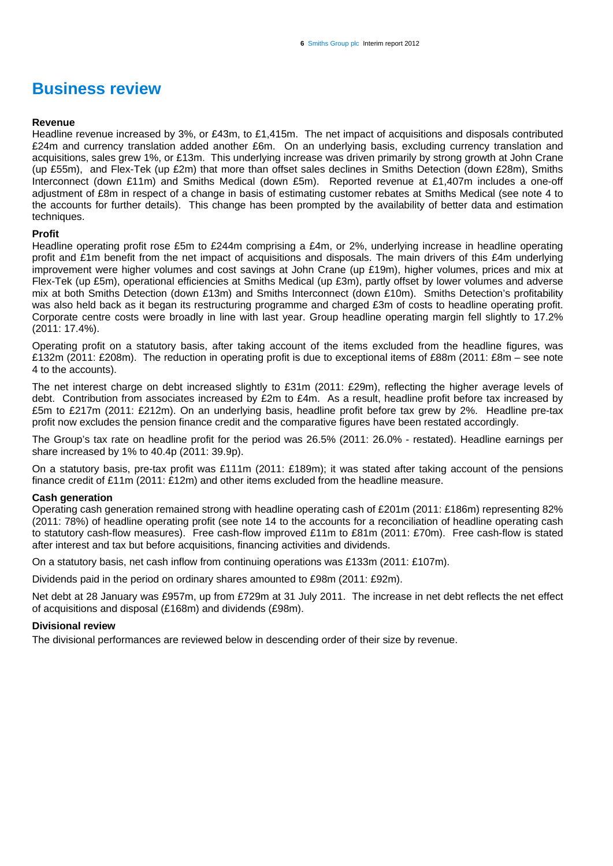# **Business review**

# **Revenue**

Headline revenue increased by 3%, or £43m, to £1,415m. The net impact of acquisitions and disposals contributed £24m and currency translation added another £6m. On an underlying basis, excluding currency translation and acquisitions, sales grew 1%, or £13m. This underlying increase was driven primarily by strong growth at John Crane (up £55m), and Flex-Tek (up £2m) that more than offset sales declines in Smiths Detection (down £28m), Smiths Interconnect (down £11m) and Smiths Medical (down £5m). Reported revenue at £1,407m includes a one-off adjustment of £8m in respect of a change in basis of estimating customer rebates at Smiths Medical (see note 4 to the accounts for further details). This change has been prompted by the availability of better data and estimation techniques.

# **Profit**

Headline operating profit rose £5m to £244m comprising a £4m, or 2%, underlying increase in headline operating profit and £1m benefit from the net impact of acquisitions and disposals. The main drivers of this £4m underlying improvement were higher volumes and cost savings at John Crane (up £19m), higher volumes, prices and mix at Flex-Tek (up £5m), operational efficiencies at Smiths Medical (up £3m), partly offset by lower volumes and adverse mix at both Smiths Detection (down £13m) and Smiths Interconnect (down £10m). Smiths Detection's profitability was also held back as it began its restructuring programme and charged £3m of costs to headline operating profit. Corporate centre costs were broadly in line with last year. Group headline operating margin fell slightly to 17.2% (2011: 17.4%).

Operating profit on a statutory basis, after taking account of the items excluded from the headline figures, was £132m (2011: £208m). The reduction in operating profit is due to exceptional items of £88m (2011: £8m – see note 4 to the accounts).

The net interest charge on debt increased slightly to £31m (2011: £29m), reflecting the higher average levels of debt. Contribution from associates increased by £2m to £4m. As a result, headline profit before tax increased by £5m to £217m (2011: £212m). On an underlying basis, headline profit before tax grew by 2%. Headline pre-tax profit now excludes the pension finance credit and the comparative figures have been restated accordingly.

The Group's tax rate on headline profit for the period was 26.5% (2011: 26.0% - restated). Headline earnings per share increased by 1% to 40.4p (2011: 39.9p).

On a statutory basis, pre-tax profit was £111m (2011: £189m); it was stated after taking account of the pensions finance credit of £11m (2011: £12m) and other items excluded from the headline measure.

# **Cash generation**

Operating cash generation remained strong with headline operating cash of £201m (2011: £186m) representing 82% (2011: 78%) of headline operating profit (see note 14 to the accounts for a reconciliation of headline operating cash to statutory cash-flow measures). Free cash-flow improved £11m to £81m (2011: £70m). Free cash-flow is stated after interest and tax but before acquisitions, financing activities and dividends.

On a statutory basis, net cash inflow from continuing operations was £133m (2011: £107m).

Dividends paid in the period on ordinary shares amounted to £98m (2011: £92m).

Net debt at 28 January was £957m, up from £729m at 31 July 2011. The increase in net debt reflects the net effect of acquisitions and disposal (£168m) and dividends (£98m).

# **Divisional review**

The divisional performances are reviewed below in descending order of their size by revenue.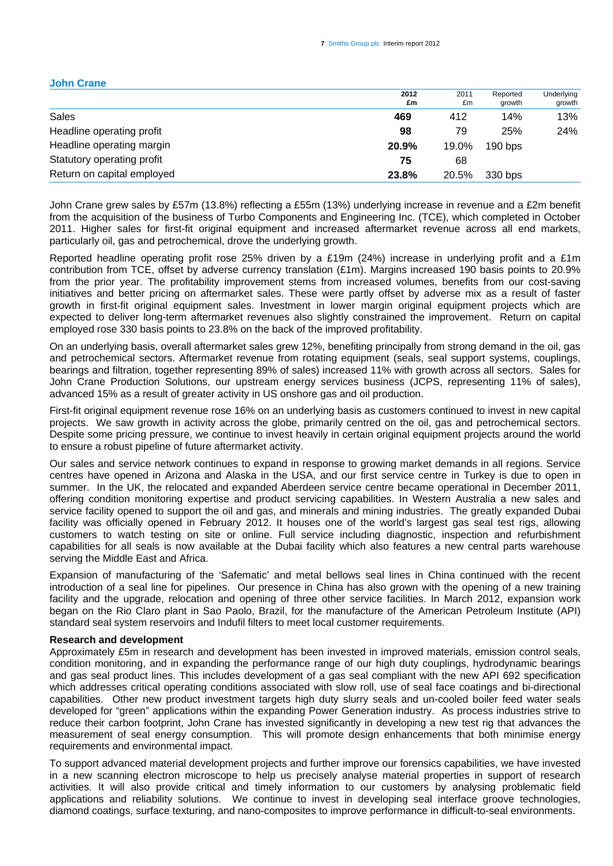#### **John Crane**

|                            | 2012<br>£m | 2011<br>£m | Reported<br>growth | <b>Underlying</b><br>growth |
|----------------------------|------------|------------|--------------------|-----------------------------|
| Sales                      | 469        | 412        | 14%                | 13%                         |
| Headline operating profit  | 98         | 79         | 25%                | 24%                         |
| Headline operating margin  | 20.9%      | 19.0%      | $190$ bps          |                             |
| Statutory operating profit | 75         | 68         |                    |                             |
| Return on capital employed | 23.8%      | 20.5%      | 330 bps            |                             |

John Crane grew sales by £57m (13.8%) reflecting a £55m (13%) underlying increase in revenue and a £2m benefit from the acquisition of the business of Turbo Components and Engineering Inc. (TCE), which completed in October 2011. Higher sales for first-fit original equipment and increased aftermarket revenue across all end markets, particularly oil, gas and petrochemical, drove the underlying growth.

Reported headline operating profit rose 25% driven by a £19m (24%) increase in underlying profit and a £1m contribution from TCE, offset by adverse currency translation (£1m). Margins increased 190 basis points to 20.9% from the prior year. The profitability improvement stems from increased volumes, benefits from our cost-saving initiatives and better pricing on aftermarket sales. These were partly offset by adverse mix as a result of faster growth in first-fit original equipment sales. Investment in lower margin original equipment projects which are expected to deliver long-term aftermarket revenues also slightly constrained the improvement. Return on capital employed rose 330 basis points to 23.8% on the back of the improved profitability.

On an underlying basis, overall aftermarket sales grew 12%, benefiting principally from strong demand in the oil, gas and petrochemical sectors. Aftermarket revenue from rotating equipment (seals, seal support systems, couplings, bearings and filtration, together representing 89% of sales) increased 11% with growth across all sectors. Sales for John Crane Production Solutions, our upstream energy services business (JCPS, representing 11% of sales), advanced 15% as a result of greater activity in US onshore gas and oil production.

First-fit original equipment revenue rose 16% on an underlying basis as customers continued to invest in new capital projects. We saw growth in activity across the globe, primarily centred on the oil, gas and petrochemical sectors. Despite some pricing pressure, we continue to invest heavily in certain original equipment projects around the world to ensure a robust pipeline of future aftermarket activity.

Our sales and service network continues to expand in response to growing market demands in all regions. Service centres have opened in Arizona and Alaska in the USA, and our first service centre in Turkey is due to open in summer. In the UK, the relocated and expanded Aberdeen service centre became operational in December 2011, offering condition monitoring expertise and product servicing capabilities. In Western Australia a new sales and service facility opened to support the oil and gas, and minerals and mining industries. The greatly expanded Dubai facility was officially opened in February 2012. It houses one of the world's largest gas seal test rigs, allowing customers to watch testing on site or online. Full service including diagnostic, inspection and refurbishment capabilities for all seals is now available at the Dubai facility which also features a new central parts warehouse serving the Middle East and Africa.

Expansion of manufacturing of the 'Safematic' and metal bellows seal lines in China continued with the recent introduction of a seal line for pipelines. Our presence in China has also grown with the opening of a new training facility and the upgrade, relocation and opening of three other service facilities. In March 2012, expansion work began on the Rio Claro plant in Sao Paolo, Brazil, for the manufacture of the American Petroleum Institute (API) standard seal system reservoirs and Indufil filters to meet local customer requirements.

#### **Research and development**

Approximately £5m in research and development has been invested in improved materials, emission control seals, condition monitoring, and in expanding the performance range of our high duty couplings, hydrodynamic bearings and gas seal product lines. This includes development of a gas seal compliant with the new API 692 specification which addresses critical operating conditions associated with slow roll, use of seal face coatings and bi-directional capabilities. Other new product investment targets high duty slurry seals and un-cooled boiler feed water seals developed for "green" applications within the expanding Power Generation industry. As process industries strive to reduce their carbon footprint, John Crane has invested significantly in developing a new test rig that advances the measurement of seal energy consumption. This will promote design enhancements that both minimise energy requirements and environmental impact.

To support advanced material development projects and further improve our forensics capabilities, we have invested in a new scanning electron microscope to help us precisely analyse material properties in support of research activities. It will also provide critical and timely information to our customers by analysing problematic field applications and reliability solutions. We continue to invest in developing seal interface groove technologies, diamond coatings, surface texturing, and nano-composites to improve performance in difficult-to-seal environments.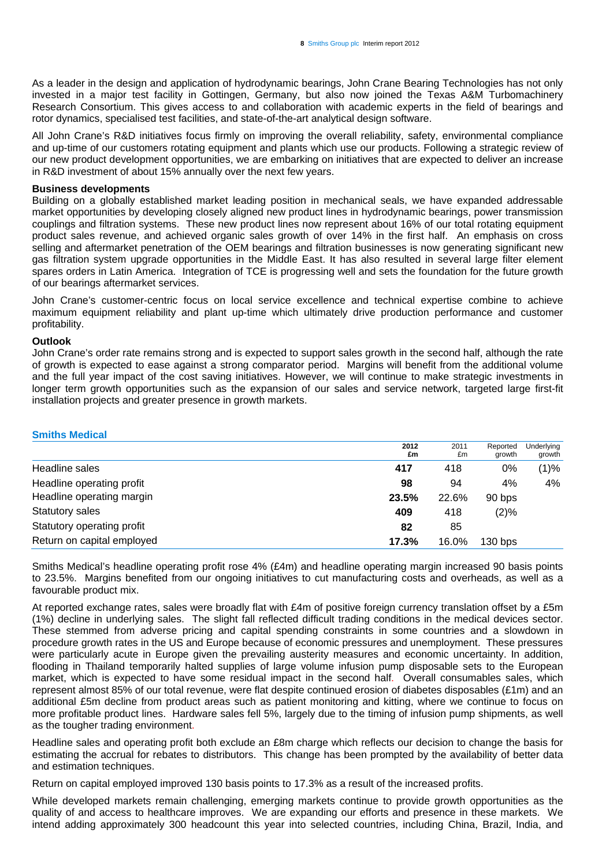As a leader in the design and application of hydrodynamic bearings, John Crane Bearing Technologies has not only invested in a major test facility in Gottingen, Germany, but also now joined the Texas A&M Turbomachinery Research Consortium. This gives access to and collaboration with academic experts in the field of bearings and rotor dynamics, specialised test facilities, and state-of-the-art analytical design software.

All John Crane's R&D initiatives focus firmly on improving the overall reliability, safety, environmental compliance and up-time of our customers rotating equipment and plants which use our products. Following a strategic review of our new product development opportunities, we are embarking on initiatives that are expected to deliver an increase in R&D investment of about 15% annually over the next few years.

### **Business developments**

Building on a globally established market leading position in mechanical seals, we have expanded addressable market opportunities by developing closely aligned new product lines in hydrodynamic bearings, power transmission couplings and filtration systems. These new product lines now represent about 16% of our total rotating equipment product sales revenue, and achieved organic sales growth of over 14% in the first half. An emphasis on cross selling and aftermarket penetration of the OEM bearings and filtration businesses is now generating significant new gas filtration system upgrade opportunities in the Middle East. It has also resulted in several large filter element spares orders in Latin America. Integration of TCE is progressing well and sets the foundation for the future growth of our bearings aftermarket services.

John Crane's customer-centric focus on local service excellence and technical expertise combine to achieve maximum equipment reliability and plant up-time which ultimately drive production performance and customer profitability.

# **Outlook**

John Crane's order rate remains strong and is expected to support sales growth in the second half, although the rate of growth is expected to ease against a strong comparator period. Margins will benefit from the additional volume and the full year impact of the cost saving initiatives. However, we will continue to make strategic investments in longer term growth opportunities such as the expansion of our sales and service network, targeted large first-fit installation projects and greater presence in growth markets.

| <b>Smiths Medical</b>      |            |            |                    |                      |
|----------------------------|------------|------------|--------------------|----------------------|
|                            | 2012<br>£m | 2011<br>£m | Reported<br>growth | Underlying<br>growth |
| Headline sales             | 417        | 418        | $0\%$              | (1)%                 |
| Headline operating profit  | 98         | 94         | 4%                 | 4%                   |
| Headline operating margin  | 23.5%      | 22.6%      | 90 bps             |                      |
| <b>Statutory sales</b>     | 409        | 418        | (2)%               |                      |
| Statutory operating profit | 82         | 85         |                    |                      |
| Return on capital employed | 17.3%      | 16.0%      | 130 bps            |                      |

Smiths Medical's headline operating profit rose 4% (£4m) and headline operating margin increased 90 basis points to 23.5%. Margins benefited from our ongoing initiatives to cut manufacturing costs and overheads, as well as a favourable product mix.

At reported exchange rates, sales were broadly flat with £4m of positive foreign currency translation offset by a £5m (1%) decline in underlying sales. The slight fall reflected difficult trading conditions in the medical devices sector. These stemmed from adverse pricing and capital spending constraints in some countries and a slowdown in procedure growth rates in the US and Europe because of economic pressures and unemployment. These pressures were particularly acute in Europe given the prevailing austerity measures and economic uncertainty. In addition, flooding in Thailand temporarily halted supplies of large volume infusion pump disposable sets to the European market, which is expected to have some residual impact in the second half. Overall consumables sales, which represent almost 85% of our total revenue, were flat despite continued erosion of diabetes disposables (£1m) and an additional £5m decline from product areas such as patient monitoring and kitting, where we continue to focus on more profitable product lines. Hardware sales fell 5%, largely due to the timing of infusion pump shipments, as well as the tougher trading environment.

Headline sales and operating profit both exclude an £8m charge which reflects our decision to change the basis for estimating the accrual for rebates to distributors. This change has been prompted by the availability of better data and estimation techniques.

Return on capital employed improved 130 basis points to 17.3% as a result of the increased profits.

While developed markets remain challenging, emerging markets continue to provide growth opportunities as the quality of and access to healthcare improves. We are expanding our efforts and presence in these markets. We intend adding approximately 300 headcount this year into selected countries, including China, Brazil, India, and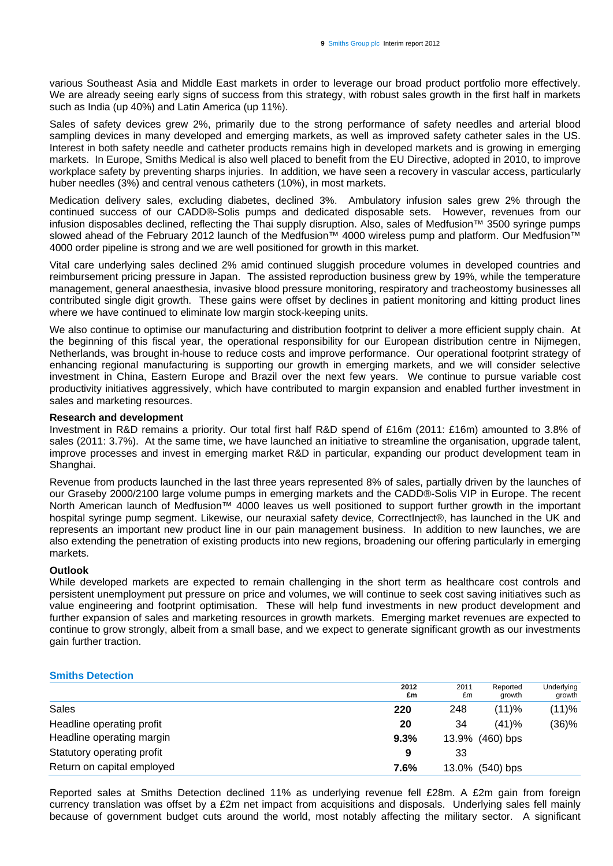various Southeast Asia and Middle East markets in order to leverage our broad product portfolio more effectively. We are already seeing early signs of success from this strategy, with robust sales growth in the first half in markets such as India (up 40%) and Latin America (up 11%).

Sales of safety devices grew 2%, primarily due to the strong performance of safety needles and arterial blood sampling devices in many developed and emerging markets, as well as improved safety catheter sales in the US. Interest in both safety needle and catheter products remains high in developed markets and is growing in emerging markets. In Europe, Smiths Medical is also well placed to benefit from the EU Directive, adopted in 2010, to improve workplace safety by preventing sharps injuries. In addition, we have seen a recovery in vascular access, particularly huber needles (3%) and central venous catheters (10%), in most markets.

Medication delivery sales, excluding diabetes, declined 3%. Ambulatory infusion sales grew 2% through the continued success of our CADD®-Solis pumps and dedicated disposable sets. However, revenues from our infusion disposables declined, reflecting the Thai supply disruption. Also, sales of Medfusion™ 3500 syringe pumps slowed ahead of the February 2012 launch of the Medfusion™ 4000 wireless pump and platform. Our Medfusion™ 4000 order pipeline is strong and we are well positioned for growth in this market.

Vital care underlying sales declined 2% amid continued sluggish procedure volumes in developed countries and reimbursement pricing pressure in Japan. The assisted reproduction business grew by 19%, while the temperature management, general anaesthesia, invasive blood pressure monitoring, respiratory and tracheostomy businesses all contributed single digit growth. These gains were offset by declines in patient monitoring and kitting product lines where we have continued to eliminate low margin stock-keeping units.

We also continue to optimise our manufacturing and distribution footprint to deliver a more efficient supply chain. At the beginning of this fiscal year, the operational responsibility for our European distribution centre in Nijmegen, Netherlands, was brought in-house to reduce costs and improve performance. Our operational footprint strategy of enhancing regional manufacturing is supporting our growth in emerging markets, and we will consider selective investment in China, Eastern Europe and Brazil over the next few years. We continue to pursue variable cost productivity initiatives aggressively, which have contributed to margin expansion and enabled further investment in sales and marketing resources.

# **Research and development**

Investment in R&D remains a priority. Our total first half R&D spend of £16m (2011: £16m) amounted to 3.8% of sales (2011: 3.7%). At the same time, we have launched an initiative to streamline the organisation, upgrade talent, improve processes and invest in emerging market R&D in particular, expanding our product development team in Shanghai.

Revenue from products launched in the last three years represented 8% of sales, partially driven by the launches of our Graseby 2000/2100 large volume pumps in emerging markets and the CADD®-Solis VIP in Europe. The recent North American launch of Medfusion™ 4000 leaves us well positioned to support further growth in the important hospital syringe pump segment. Likewise, our neuraxial safety device, CorrectInject®, has launched in the UK and represents an important new product line in our pain management business. In addition to new launches, we are also extending the penetration of existing products into new regions, broadening our offering particularly in emerging markets.

# **Outlook**

While developed markets are expected to remain challenging in the short term as healthcare cost controls and persistent unemployment put pressure on price and volumes, we will continue to seek cost saving initiatives such as value engineering and footprint optimisation. These will help fund investments in new product development and further expansion of sales and marketing resources in growth markets. Emerging market revenues are expected to continue to grow strongly, albeit from a small base, and we expect to generate significant growth as our investments gain further traction.

# **Smiths Detection**

|                            | 2012<br>£m | 2011<br>£m | Reported<br>growth | Underlying<br>growth |
|----------------------------|------------|------------|--------------------|----------------------|
| Sales                      | 220        | 248        | (11)%              | (11)%                |
| Headline operating profit  | 20         | 34         | (41)%              | (36)%                |
| Headline operating margin  | 9.3%       |            | 13.9% (460) bps    |                      |
| Statutory operating profit | 9          | 33         |                    |                      |
| Return on capital employed | 7.6%       | 13.0%      | $(540)$ bps        |                      |

Reported sales at Smiths Detection declined 11% as underlying revenue fell £28m. A £2m gain from foreign currency translation was offset by a £2m net impact from acquisitions and disposals. Underlying sales fell mainly because of government budget cuts around the world, most notably affecting the military sector. A significant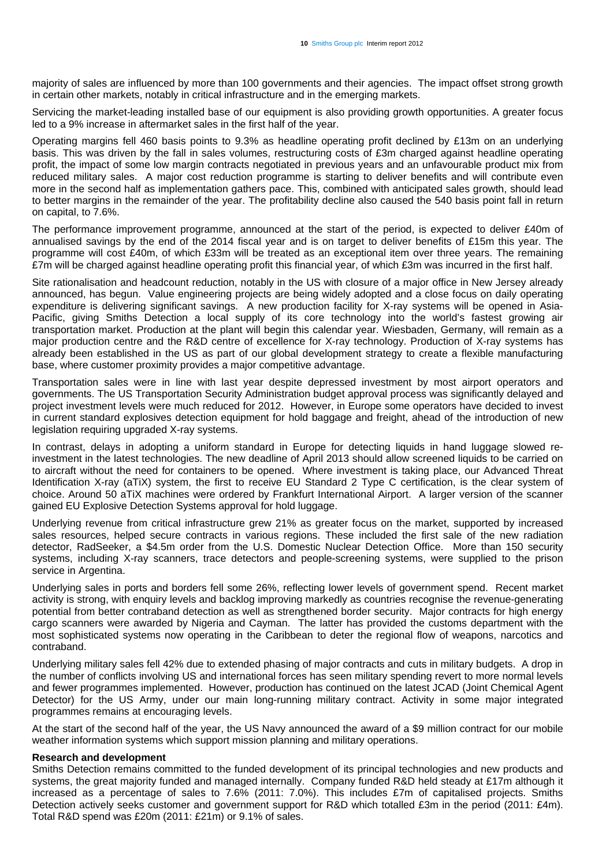majority of sales are influenced by more than 100 governments and their agencies. The impact offset strong growth in certain other markets, notably in critical infrastructure and in the emerging markets.

Servicing the market-leading installed base of our equipment is also providing growth opportunities. A greater focus led to a 9% increase in aftermarket sales in the first half of the year.

Operating margins fell 460 basis points to 9.3% as headline operating profit declined by £13m on an underlying basis. This was driven by the fall in sales volumes, restructuring costs of £3m charged against headline operating profit, the impact of some low margin contracts negotiated in previous years and an unfavourable product mix from reduced military sales. A major cost reduction programme is starting to deliver benefits and will contribute even more in the second half as implementation gathers pace. This, combined with anticipated sales growth, should lead to better margins in the remainder of the year. The profitability decline also caused the 540 basis point fall in return on capital, to 7.6%.

The performance improvement programme, announced at the start of the period, is expected to deliver £40m of annualised savings by the end of the 2014 fiscal year and is on target to deliver benefits of £15m this year. The programme will cost £40m, of which £33m will be treated as an exceptional item over three years. The remaining £7m will be charged against headline operating profit this financial year, of which £3m was incurred in the first half.

Site rationalisation and headcount reduction, notably in the US with closure of a major office in New Jersey already announced, has begun. Value engineering projects are being widely adopted and a close focus on daily operating expenditure is delivering significant savings. A new production facility for X-ray systems will be opened in Asia-Pacific, giving Smiths Detection a local supply of its core technology into the world's fastest growing air transportation market. Production at the plant will begin this calendar year. Wiesbaden, Germany, will remain as a major production centre and the R&D centre of excellence for X-ray technology. Production of X-ray systems has already been established in the US as part of our global development strategy to create a flexible manufacturing base, where customer proximity provides a major competitive advantage.

Transportation sales were in line with last year despite depressed investment by most airport operators and governments. The US Transportation Security Administration budget approval process was significantly delayed and project investment levels were much reduced for 2012. However, in Europe some operators have decided to invest in current standard explosives detection equipment for hold baggage and freight, ahead of the introduction of new legislation requiring upgraded X-ray systems.

In contrast, delays in adopting a uniform standard in Europe for detecting liquids in hand luggage slowed reinvestment in the latest technologies. The new deadline of April 2013 should allow screened liquids to be carried on to aircraft without the need for containers to be opened. Where investment is taking place, our Advanced Threat Identification X-ray (aTiX) system, the first to receive EU Standard 2 Type C certification, is the clear system of choice. Around 50 aTiX machines were ordered by Frankfurt International Airport. A larger version of the scanner gained EU Explosive Detection Systems approval for hold luggage.

Underlying revenue from critical infrastructure grew 21% as greater focus on the market, supported by increased sales resources, helped secure contracts in various regions. These included the first sale of the new radiation detector, RadSeeker, a \$4.5m order from the U.S. Domestic Nuclear Detection Office. More than 150 security systems, including X-ray scanners, trace detectors and people-screening systems, were supplied to the prison service in Argentina.

Underlying sales in ports and borders fell some 26%, reflecting lower levels of government spend. Recent market activity is strong, with enquiry levels and backlog improving markedly as countries recognise the revenue-generating potential from better contraband detection as well as strengthened border security. Major contracts for high energy cargo scanners were awarded by Nigeria and Cayman. The latter has provided the customs department with the most sophisticated systems now operating in the Caribbean to deter the regional flow of weapons, narcotics and contraband.

Underlying military sales fell 42% due to extended phasing of major contracts and cuts in military budgets. A drop in the number of conflicts involving US and international forces has seen military spending revert to more normal levels and fewer programmes implemented. However, production has continued on the latest JCAD (Joint Chemical Agent Detector) for the US Army, under our main long-running military contract. Activity in some major integrated programmes remains at encouraging levels.

At the start of the second half of the year, the US Navy announced the award of a \$9 million contract for our mobile weather information systems which support mission planning and military operations.

#### **Research and development**

Smiths Detection remains committed to the funded development of its principal technologies and new products and systems, the great majority funded and managed internally. Company funded R&D held steady at £17m although it increased as a percentage of sales to 7.6% (2011: 7.0%). This includes £7m of capitalised projects. Smiths Detection actively seeks customer and government support for R&D which totalled £3m in the period (2011: £4m). Total R&D spend was £20m (2011: £21m) or 9.1% of sales.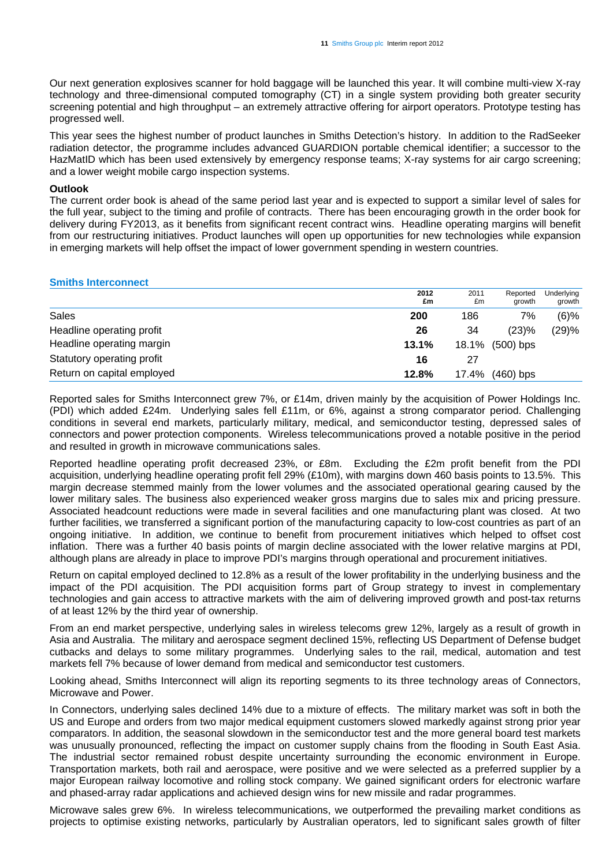Our next generation explosives scanner for hold baggage will be launched this year. It will combine multi-view X-ray technology and three-dimensional computed tomography (CT) in a single system providing both greater security screening potential and high throughput – an extremely attractive offering for airport operators. Prototype testing has progressed well.

This year sees the highest number of product launches in Smiths Detection's history. In addition to the RadSeeker radiation detector, the programme includes advanced GUARDION portable chemical identifier; a successor to the HazMatID which has been used extensively by emergency response teams; X-ray systems for air cargo screening; and a lower weight mobile cargo inspection systems.

#### **Outlook**

The current order book is ahead of the same period last year and is expected to support a similar level of sales for the full year, subject to the timing and profile of contracts. There has been encouraging growth in the order book for delivery during FY2013, as it benefits from significant recent contract wins. Headline operating margins will benefit from our restructuring initiatives. Product launches will open up opportunities for new technologies while expansion in emerging markets will help offset the impact of lower government spending in western countries.

# **Smiths Interconnect**

|                            | 2012<br>£m | 2011<br>£m | Reported<br>growth | <b>Underlying</b><br>growth |
|----------------------------|------------|------------|--------------------|-----------------------------|
| Sales                      | 200        | 186        | 7%                 | $(6)\%$                     |
| Headline operating profit  | 26         | 34         | (23)%              | (29)%                       |
| Headline operating margin  | 13.1%      | 18.1%      | $(500)$ bps        |                             |
| Statutory operating profit | 16         | 27         |                    |                             |
| Return on capital employed | 12.8%      | 17.4%      | $(460)$ bps        |                             |

Reported sales for Smiths Interconnect grew 7%, or £14m, driven mainly by the acquisition of Power Holdings Inc. (PDI) which added £24m. Underlying sales fell £11m, or 6%, against a strong comparator period. Challenging conditions in several end markets, particularly military, medical, and semiconductor testing, depressed sales of connectors and power protection components. Wireless telecommunications proved a notable positive in the period and resulted in growth in microwave communications sales.

Reported headline operating profit decreased 23%, or £8m. Excluding the £2m profit benefit from the PDI acquisition, underlying headline operating profit fell 29% (£10m), with margins down 460 basis points to 13.5%. This margin decrease stemmed mainly from the lower volumes and the associated operational gearing caused by the lower military sales. The business also experienced weaker gross margins due to sales mix and pricing pressure. Associated headcount reductions were made in several facilities and one manufacturing plant was closed. At two further facilities, we transferred a significant portion of the manufacturing capacity to low-cost countries as part of an ongoing initiative. In addition, we continue to benefit from procurement initiatives which helped to offset cost inflation. There was a further 40 basis points of margin decline associated with the lower relative margins at PDI, although plans are already in place to improve PDI's margins through operational and procurement initiatives.

Return on capital employed declined to 12.8% as a result of the lower profitability in the underlying business and the impact of the PDI acquisition. The PDI acquisition forms part of Group strategy to invest in complementary technologies and gain access to attractive markets with the aim of delivering improved growth and post-tax returns of at least 12% by the third year of ownership.

From an end market perspective, underlying sales in wireless telecoms grew 12%, largely as a result of growth in Asia and Australia. The military and aerospace segment declined 15%, reflecting US Department of Defense budget cutbacks and delays to some military programmes. Underlying sales to the rail, medical, automation and test markets fell 7% because of lower demand from medical and semiconductor test customers.

Looking ahead, Smiths Interconnect will align its reporting segments to its three technology areas of Connectors, Microwave and Power.

In Connectors, underlying sales declined 14% due to a mixture of effects. The military market was soft in both the US and Europe and orders from two major medical equipment customers slowed markedly against strong prior year comparators. In addition, the seasonal slowdown in the semiconductor test and the more general board test markets was unusually pronounced, reflecting the impact on customer supply chains from the flooding in South East Asia. The industrial sector remained robust despite uncertainty surrounding the economic environment in Europe. Transportation markets, both rail and aerospace, were positive and we were selected as a preferred supplier by a major European railway locomotive and rolling stock company. We gained significant orders for electronic warfare and phased-array radar applications and achieved design wins for new missile and radar programmes.

Microwave sales grew 6%. In wireless telecommunications, we outperformed the prevailing market conditions as projects to optimise existing networks, particularly by Australian operators, led to significant sales growth of filter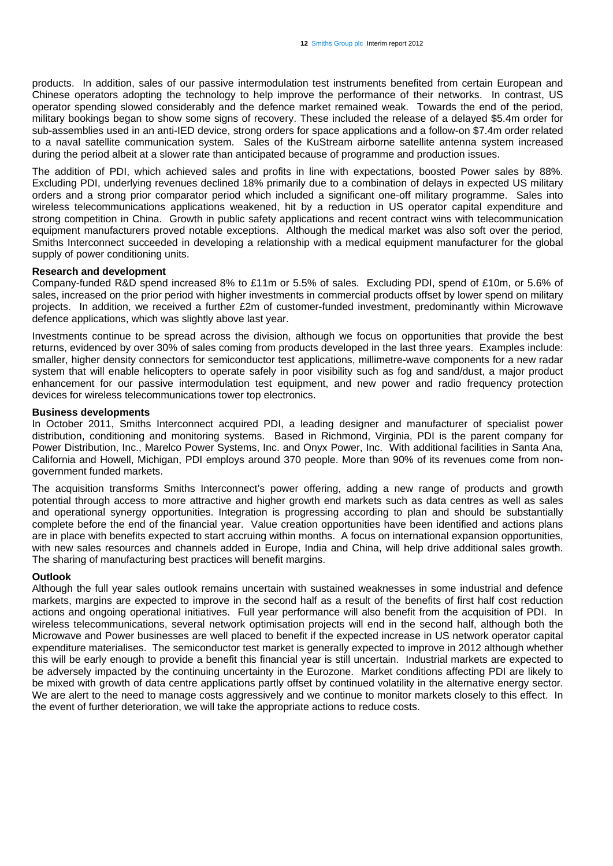products. In addition, sales of our passive intermodulation test instruments benefited from certain European and Chinese operators adopting the technology to help improve the performance of their networks. In contrast, US operator spending slowed considerably and the defence market remained weak. Towards the end of the period, military bookings began to show some signs of recovery. These included the release of a delayed \$5.4m order for sub-assemblies used in an anti-IED device, strong orders for space applications and a follow-on \$7.4m order related to a naval satellite communication system. Sales of the KuStream airborne satellite antenna system increased during the period albeit at a slower rate than anticipated because of programme and production issues.

The addition of PDI, which achieved sales and profits in line with expectations, boosted Power sales by 88%. Excluding PDI, underlying revenues declined 18% primarily due to a combination of delays in expected US military orders and a strong prior comparator period which included a significant one-off military programme. Sales into wireless telecommunications applications weakened, hit by a reduction in US operator capital expenditure and strong competition in China. Growth in public safety applications and recent contract wins with telecommunication equipment manufacturers proved notable exceptions. Although the medical market was also soft over the period, Smiths Interconnect succeeded in developing a relationship with a medical equipment manufacturer for the global supply of power conditioning units.

# **Research and development**

Company-funded R&D spend increased 8% to £11m or 5.5% of sales. Excluding PDI, spend of £10m, or 5.6% of sales, increased on the prior period with higher investments in commercial products offset by lower spend on military projects. In addition, we received a further £2m of customer-funded investment, predominantly within Microwave defence applications, which was slightly above last year.

Investments continue to be spread across the division, although we focus on opportunities that provide the best returns, evidenced by over 30% of sales coming from products developed in the last three years. Examples include: smaller, higher density connectors for semiconductor test applications, millimetre-wave components for a new radar system that will enable helicopters to operate safely in poor visibility such as fog and sand/dust, a major product enhancement for our passive intermodulation test equipment, and new power and radio frequency protection devices for wireless telecommunications tower top electronics.

# **Business developments**

In October 2011, Smiths Interconnect acquired PDI, a leading designer and manufacturer of specialist power distribution, conditioning and monitoring systems. Based in Richmond, Virginia, PDI is the parent company for Power Distribution, Inc., Marelco Power Systems, Inc. and Onyx Power, Inc. With additional facilities in Santa Ana, California and Howell, Michigan, PDI employs around 370 people. More than 90% of its revenues come from nongovernment funded markets.

The acquisition transforms Smiths Interconnect's power offering, adding a new range of products and growth potential through access to more attractive and higher growth end markets such as data centres as well as sales and operational synergy opportunities. Integration is progressing according to plan and should be substantially complete before the end of the financial year. Value creation opportunities have been identified and actions plans are in place with benefits expected to start accruing within months. A focus on international expansion opportunities, with new sales resources and channels added in Europe, India and China, will help drive additional sales growth. The sharing of manufacturing best practices will benefit margins.

# **Outlook**

Although the full year sales outlook remains uncertain with sustained weaknesses in some industrial and defence markets, margins are expected to improve in the second half as a result of the benefits of first half cost reduction actions and ongoing operational initiatives. Full year performance will also benefit from the acquisition of PDI. In wireless telecommunications, several network optimisation projects will end in the second half, although both the Microwave and Power businesses are well placed to benefit if the expected increase in US network operator capital expenditure materialises. The semiconductor test market is generally expected to improve in 2012 although whether this will be early enough to provide a benefit this financial year is still uncertain. Industrial markets are expected to be adversely impacted by the continuing uncertainty in the Eurozone. Market conditions affecting PDI are likely to be mixed with growth of data centre applications partly offset by continued volatility in the alternative energy sector. We are alert to the need to manage costs aggressively and we continue to monitor markets closely to this effect. In the event of further deterioration, we will take the appropriate actions to reduce costs.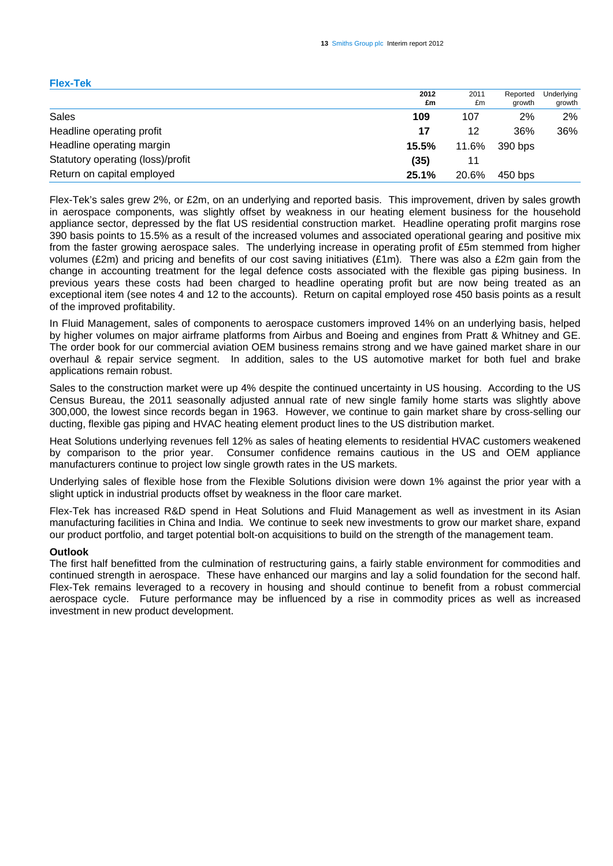#### **Flex-Tek**

|                                   | 2012<br>£m | 2011<br>£m | Reported<br>growth | Underlying<br>growth |
|-----------------------------------|------------|------------|--------------------|----------------------|
| Sales                             | 109        | 107        | 2%                 | 2%                   |
| Headline operating profit         | 17         | 12         | 36%                | 36%                  |
| Headline operating margin         | 15.5%      | 11.6%      | 390 bps            |                      |
| Statutory operating (loss)/profit | (35)       | 11         |                    |                      |
| Return on capital employed        | 25.1%      | 20.6%      | $450$ bps          |                      |

Flex-Tek's sales grew 2%, or £2m, on an underlying and reported basis. This improvement, driven by sales growth in aerospace components, was slightly offset by weakness in our heating element business for the household appliance sector, depressed by the flat US residential construction market. Headline operating profit margins rose 390 basis points to 15.5% as a result of the increased volumes and associated operational gearing and positive mix from the faster growing aerospace sales. The underlying increase in operating profit of £5m stemmed from higher volumes (£2m) and pricing and benefits of our cost saving initiatives (£1m). There was also a £2m gain from the change in accounting treatment for the legal defence costs associated with the flexible gas piping business. In previous years these costs had been charged to headline operating profit but are now being treated as an exceptional item (see notes 4 and 12 to the accounts). Return on capital employed rose 450 basis points as a result of the improved profitability.

In Fluid Management, sales of components to aerospace customers improved 14% on an underlying basis, helped by higher volumes on major airframe platforms from Airbus and Boeing and engines from Pratt & Whitney and GE. The order book for our commercial aviation OEM business remains strong and we have gained market share in our overhaul & repair service segment. In addition, sales to the US automotive market for both fuel and brake applications remain robust.

Sales to the construction market were up 4% despite the continued uncertainty in US housing. According to the US Census Bureau, the 2011 seasonally adjusted annual rate of new single family home starts was slightly above 300,000, the lowest since records began in 1963. However, we continue to gain market share by cross-selling our ducting, flexible gas piping and HVAC heating element product lines to the US distribution market.

Heat Solutions underlying revenues fell 12% as sales of heating elements to residential HVAC customers weakened by comparison to the prior year. Consumer confidence remains cautious in the US and OEM appliance manufacturers continue to project low single growth rates in the US markets.

Underlying sales of flexible hose from the Flexible Solutions division were down 1% against the prior year with a slight uptick in industrial products offset by weakness in the floor care market.

Flex-Tek has increased R&D spend in Heat Solutions and Fluid Management as well as investment in its Asian manufacturing facilities in China and India. We continue to seek new investments to grow our market share, expand our product portfolio, and target potential bolt-on acquisitions to build on the strength of the management team.

#### **Outlook**

The first half benefitted from the culmination of restructuring gains, a fairly stable environment for commodities and continued strength in aerospace. These have enhanced our margins and lay a solid foundation for the second half. Flex-Tek remains leveraged to a recovery in housing and should continue to benefit from a robust commercial aerospace cycle. Future performance may be influenced by a rise in commodity prices as well as increased investment in new product development.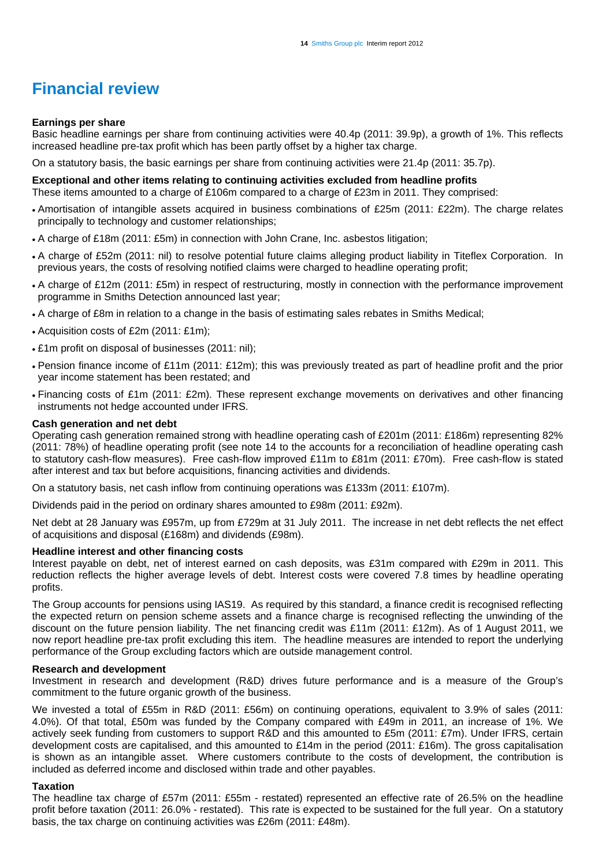# **Financial review**

# **Earnings per share**

Basic headline earnings per share from continuing activities were 40.4p (2011: 39.9p), a growth of 1%. This reflects increased headline pre-tax profit which has been partly offset by a higher tax charge.

On a statutory basis, the basic earnings per share from continuing activities were 21.4p (2011: 35.7p).

**Exceptional and other items relating to continuing activities excluded from headline profits**  These items amounted to a charge of £106m compared to a charge of £23m in 2011. They comprised:

- Amortisation of intangible assets acquired in business combinations of £25m (2011: £22m). The charge relates principally to technology and customer relationships;
- A charge of £18m (2011: £5m) in connection with John Crane, Inc. asbestos litigation;
- A charge of £52m (2011: nil) to resolve potential future claims alleging product liability in Titeflex Corporation. In previous years, the costs of resolving notified claims were charged to headline operating profit;
- A charge of £12m (2011: £5m) in respect of restructuring, mostly in connection with the performance improvement programme in Smiths Detection announced last year;
- A charge of £8m in relation to a change in the basis of estimating sales rebates in Smiths Medical;
- Acquisition costs of £2m (2011: £1m);
- £1m profit on disposal of businesses (2011: nil);
- Pension finance income of £11m (2011: £12m); this was previously treated as part of headline profit and the prior year income statement has been restated; and
- Financing costs of £1m (2011: £2m). These represent exchange movements on derivatives and other financing instruments not hedge accounted under IFRS.

# **Cash generation and net debt**

Operating cash generation remained strong with headline operating cash of £201m (2011: £186m) representing 82% (2011: 78%) of headline operating profit (see note 14 to the accounts for a reconciliation of headline operating cash to statutory cash-flow measures). Free cash-flow improved £11m to £81m (2011: £70m). Free cash-flow is stated after interest and tax but before acquisitions, financing activities and dividends.

On a statutory basis, net cash inflow from continuing operations was £133m (2011: £107m).

Dividends paid in the period on ordinary shares amounted to £98m (2011: £92m).

Net debt at 28 January was £957m, up from £729m at 31 July 2011. The increase in net debt reflects the net effect of acquisitions and disposal (£168m) and dividends (£98m).

# **Headline interest and other financing costs**

Interest payable on debt, net of interest earned on cash deposits, was £31m compared with £29m in 2011. This reduction reflects the higher average levels of debt. Interest costs were covered 7.8 times by headline operating profits.

The Group accounts for pensions using IAS19. As required by this standard, a finance credit is recognised reflecting the expected return on pension scheme assets and a finance charge is recognised reflecting the unwinding of the discount on the future pension liability. The net financing credit was £11m (2011: £12m). As of 1 August 2011, we now report headline pre-tax profit excluding this item. The headline measures are intended to report the underlying performance of the Group excluding factors which are outside management control.

# **Research and development**

Investment in research and development (R&D) drives future performance and is a measure of the Group's commitment to the future organic growth of the business.

We invested a total of £55m in R&D (2011: £56m) on continuing operations, equivalent to 3.9% of sales (2011: 4.0%). Of that total, £50m was funded by the Company compared with £49m in 2011, an increase of 1%. We actively seek funding from customers to support R&D and this amounted to £5m (2011: £7m). Under IFRS, certain development costs are capitalised, and this amounted to £14m in the period (2011: £16m). The gross capitalisation is shown as an intangible asset. Where customers contribute to the costs of development, the contribution is included as deferred income and disclosed within trade and other payables.

# **Taxation**

The headline tax charge of £57m (2011: £55m - restated) represented an effective rate of 26.5% on the headline profit before taxation (2011: 26.0% - restated). This rate is expected to be sustained for the full year. On a statutory basis, the tax charge on continuing activities was £26m (2011: £48m).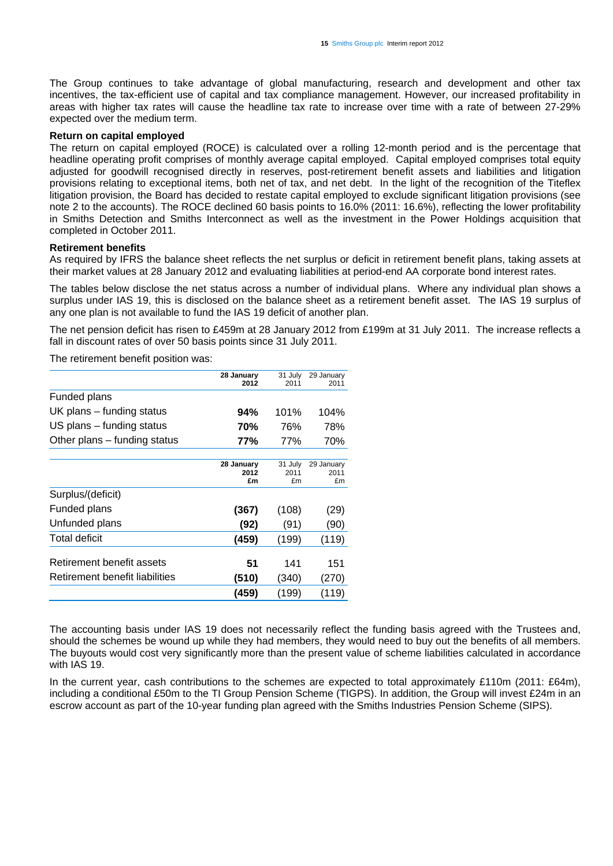The Group continues to take advantage of global manufacturing, research and development and other tax incentives, the tax-efficient use of capital and tax compliance management. However, our increased profitability in areas with higher tax rates will cause the headline tax rate to increase over time with a rate of between 27-29% expected over the medium term.

#### **Return on capital employed**

The return on capital employed (ROCE) is calculated over a rolling 12-month period and is the percentage that headline operating profit comprises of monthly average capital employed. Capital employed comprises total equity adjusted for goodwill recognised directly in reserves, post-retirement benefit assets and liabilities and litigation provisions relating to exceptional items, both net of tax, and net debt. In the light of the recognition of the Titeflex litigation provision, the Board has decided to restate capital employed to exclude significant litigation provisions (see note 2 to the accounts). The ROCE declined 60 basis points to 16.0% (2011: 16.6%), reflecting the lower profitability in Smiths Detection and Smiths Interconnect as well as the investment in the Power Holdings acquisition that completed in October 2011.

#### **Retirement benefits**

As required by IFRS the balance sheet reflects the net surplus or deficit in retirement benefit plans, taking assets at their market values at 28 January 2012 and evaluating liabilities at period-end AA corporate bond interest rates.

The tables below disclose the net status across a number of individual plans. Where any individual plan shows a surplus under IAS 19, this is disclosed on the balance sheet as a retirement benefit asset. The IAS 19 surplus of any one plan is not available to fund the IAS 19 deficit of another plan.

The net pension deficit has risen to £459m at 28 January 2012 from £199m at 31 July 2011. The increase reflects a fall in discount rates of over 50 basis points since 31 July 2011.

The retirement benefit position was:

|                                | 28 January<br>2012 | 31 July<br>2011 | 29 January<br>2011 |
|--------------------------------|--------------------|-----------------|--------------------|
| Funded plans                   |                    |                 |                    |
| UK plans - funding status      | 94%                | 101%            | 104%               |
| US plans - funding status      | 70%                | 76%             | 78%                |
| Other plans – funding status   | 77%                | 77%             | 70%                |
|                                | 28 January<br>2012 | 31 July<br>2011 | 29 January<br>2011 |
|                                | £m                 | £m              | £m                 |
| Surplus/(deficit)              |                    |                 |                    |
| Funded plans                   | (367)              | (108)           | (29)               |
| Unfunded plans                 | (92)               | (91)            | (90)               |
| Total deficit                  | (459)              | (199)           | (119)              |
| Retirement benefit assets      | 51                 | 141             | 151                |
| Retirement benefit liabilities | (510)              | (340)           | (270)              |
|                                | (459)              | (199)           | 119)               |
|                                |                    |                 |                    |

The accounting basis under IAS 19 does not necessarily reflect the funding basis agreed with the Trustees and, should the schemes be wound up while they had members, they would need to buy out the benefits of all members. The buyouts would cost very significantly more than the present value of scheme liabilities calculated in accordance with IAS 19.

In the current year, cash contributions to the schemes are expected to total approximately £110m (2011: £64m), including a conditional £50m to the TI Group Pension Scheme (TIGPS). In addition, the Group will invest £24m in an escrow account as part of the 10-year funding plan agreed with the Smiths Industries Pension Scheme (SIPS).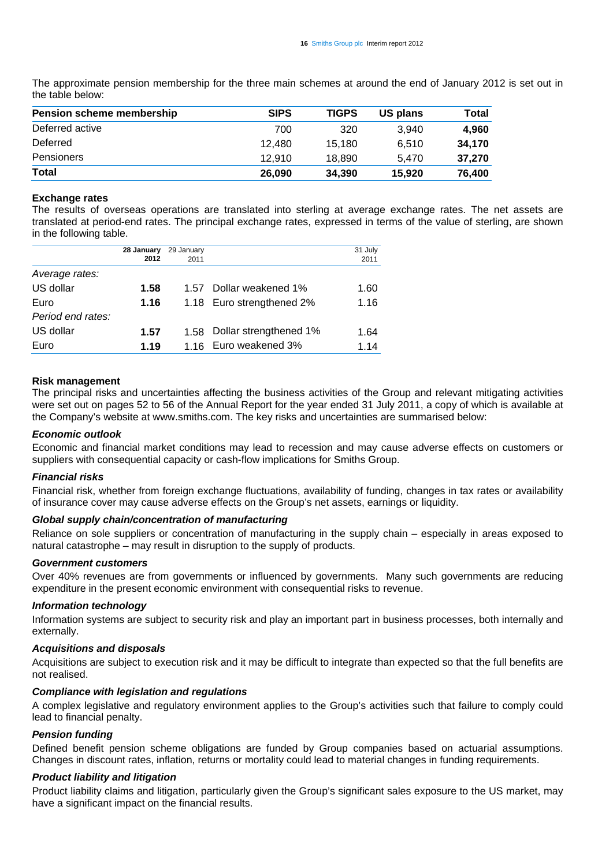The approximate pension membership for the three main schemes at around the end of January 2012 is set out in the table below:

| <b>Pension scheme membership</b> | <b>SIPS</b> | <b>TIGPS</b> | US plans | Total  |
|----------------------------------|-------------|--------------|----------|--------|
| Deferred active                  | 700         | 320          | 3.940    | 4.960  |
| Deferred                         | 12.480      | 15.180       | 6.510    | 34.170 |
| <b>Pensioners</b>                | 12.910      | 18.890       | 5.470    | 37.270 |
| <b>Total</b>                     | 26,090      | 34,390       | 15,920   | 76.400 |

# **Exchange rates**

The results of overseas operations are translated into sterling at average exchange rates. The net assets are translated at period-end rates. The principal exchange rates, expressed in terms of the value of sterling, are shown in the following table.

|                   | 28 January<br>2012 | 29 January<br>2011 |                             | 31 July<br>2011 |
|-------------------|--------------------|--------------------|-----------------------------|-----------------|
| Average rates:    |                    |                    |                             |                 |
| US dollar         | 1.58               |                    | 1.57 Dollar weakened 1%     | 1.60            |
| Euro              | 1.16               |                    | 1.18 Euro strengthened 2%   | 1.16            |
| Period end rates: |                    |                    |                             |                 |
| US dollar         | 1.57               |                    | 1.58 Dollar strengthened 1% | 1.64            |
| Euro              | 1.19               |                    | 1.16 Euro weakened 3%       | 1 14            |

#### **Risk management**

The principal risks and uncertainties affecting the business activities of the Group and relevant mitigating activities were set out on pages 52 to 56 of the Annual Report for the year ended 31 July 2011, a copy of which is available at the Company's website at www.smiths.com. The key risks and uncertainties are summarised below:

# *Economic outlook*

Economic and financial market conditions may lead to recession and may cause adverse effects on customers or suppliers with consequential capacity or cash-flow implications for Smiths Group.

# *Financial risks*

Financial risk, whether from foreign exchange fluctuations, availability of funding, changes in tax rates or availability of insurance cover may cause adverse effects on the Group's net assets, earnings or liquidity.

# *Global supply chain/concentration of manufacturing*

Reliance on sole suppliers or concentration of manufacturing in the supply chain – especially in areas exposed to natural catastrophe – may result in disruption to the supply of products.

# *Government customers*

Over 40% revenues are from governments or influenced by governments. Many such governments are reducing expenditure in the present economic environment with consequential risks to revenue.

# *Information technology*

Information systems are subject to security risk and play an important part in business processes, both internally and externally.

# *Acquisitions and disposals*

Acquisitions are subject to execution risk and it may be difficult to integrate than expected so that the full benefits are not realised.

# *Compliance with legislation and regulations*

A complex legislative and regulatory environment applies to the Group's activities such that failure to comply could lead to financial penalty.

# *Pension funding*

Defined benefit pension scheme obligations are funded by Group companies based on actuarial assumptions. Changes in discount rates, inflation, returns or mortality could lead to material changes in funding requirements.

# *Product liability and litigation*

Product liability claims and litigation, particularly given the Group's significant sales exposure to the US market, may have a significant impact on the financial results.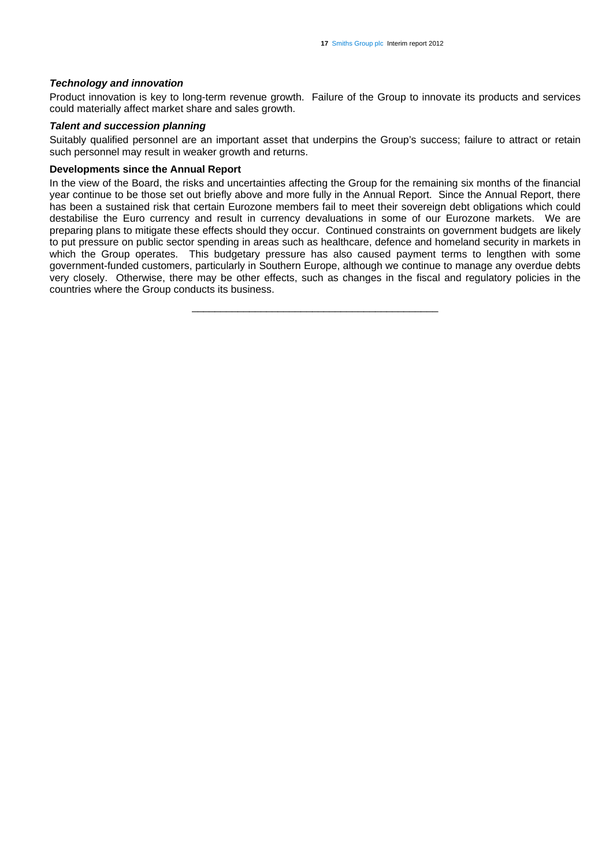### *Technology and innovation*

Product innovation is key to long-term revenue growth. Failure of the Group to innovate its products and services could materially affect market share and sales growth.

#### *Talent and succession planning*

Suitably qualified personnel are an important asset that underpins the Group's success; failure to attract or retain such personnel may result in weaker growth and returns.

# **Developments since the Annual Report**

In the view of the Board, the risks and uncertainties affecting the Group for the remaining six months of the financial year continue to be those set out briefly above and more fully in the Annual Report. Since the Annual Report, there has been a sustained risk that certain Eurozone members fail to meet their sovereign debt obligations which could destabilise the Euro currency and result in currency devaluations in some of our Eurozone markets. We are preparing plans to mitigate these effects should they occur. Continued constraints on government budgets are likely to put pressure on public sector spending in areas such as healthcare, defence and homeland security in markets in which the Group operates. This budgetary pressure has also caused payment terms to lengthen with some government-funded customers, particularly in Southern Europe, although we continue to manage any overdue debts very closely. Otherwise, there may be other effects, such as changes in the fiscal and regulatory policies in the countries where the Group conducts its business.

\_\_\_\_\_\_\_\_\_\_\_\_\_\_\_\_\_\_\_\_\_\_\_\_\_\_\_\_\_\_\_\_\_\_\_\_\_\_\_\_\_\_\_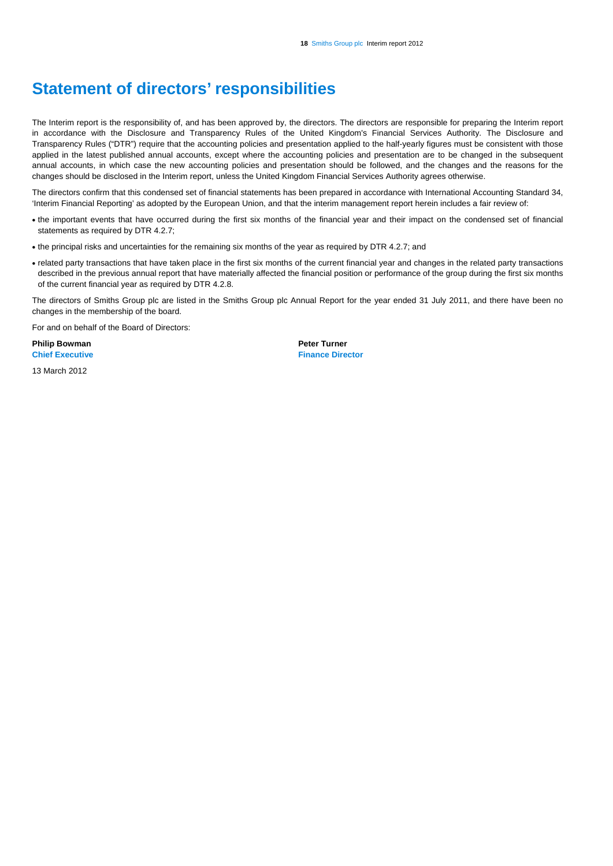# **Statement of directors' responsibilities**

The Interim report is the responsibility of, and has been approved by, the directors. The directors are responsible for preparing the Interim report in accordance with the Disclosure and Transparency Rules of the United Kingdom's Financial Services Authority. The Disclosure and Transparency Rules ("DTR") require that the accounting policies and presentation applied to the half-yearly figures must be consistent with those applied in the latest published annual accounts, except where the accounting policies and presentation are to be changed in the subsequent annual accounts, in which case the new accounting policies and presentation should be followed, and the changes and the reasons for the changes should be disclosed in the Interim report, unless the United Kingdom Financial Services Authority agrees otherwise.

The directors confirm that this condensed set of financial statements has been prepared in accordance with International Accounting Standard 34, 'Interim Financial Reporting' as adopted by the European Union, and that the interim management report herein includes a fair review of:

- the important events that have occurred during the first six months of the financial year and their impact on the condensed set of financial statements as required by DTR 4.2.7;
- the principal risks and uncertainties for the remaining six months of the year as required by DTR 4.2.7; and
- related party transactions that have taken place in the first six months of the current financial year and changes in the related party transactions described in the previous annual report that have materially affected the financial position or performance of the group during the first six months of the current financial year as required by DTR 4.2.8.

The directors of Smiths Group plc are listed in the Smiths Group plc Annual Report for the year ended 31 July 2011, and there have been no changes in the membership of the board.

For and on behalf of the Board of Directors:

**Philip Bowman Peter Turner Accord Peter Turner Accord Peter Turner Chief Executive Contract Contract Contract Contract Contract Contract Contract Contract Contract Contract Contract Contract Contract Contract Contract Contract Contract Contract Contract Contract Contract Contract Contrac** 

13 March 2012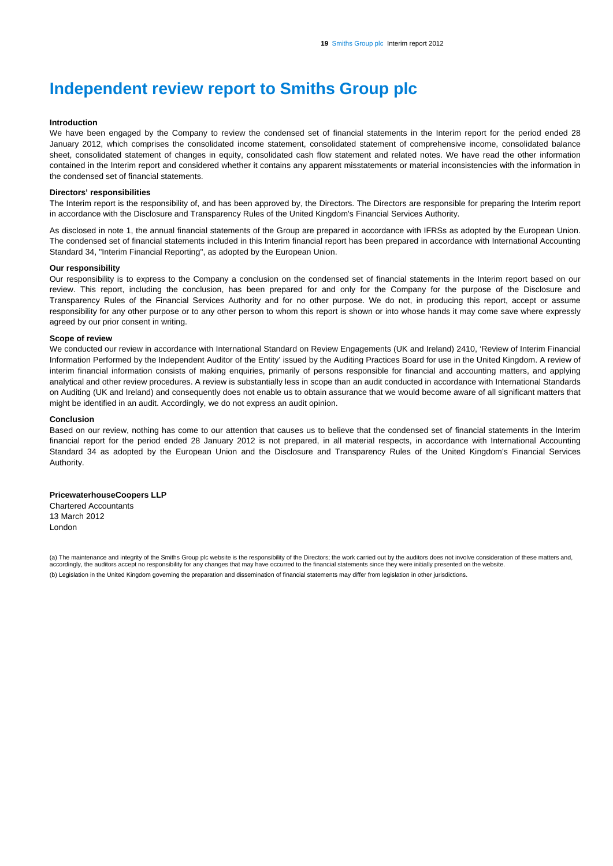# **Independent review report to Smiths Group plc**

#### **Introduction**

We have been engaged by the Company to review the condensed set of financial statements in the Interim report for the period ended 28 January 2012, which comprises the consolidated income statement, consolidated statement of comprehensive income, consolidated balance sheet, consolidated statement of changes in equity, consolidated cash flow statement and related notes. We have read the other information contained in the Interim report and considered whether it contains any apparent misstatements or material inconsistencies with the information in the condensed set of financial statements.

#### **Directors' responsibilities**

The Interim report is the responsibility of, and has been approved by, the Directors. The Directors are responsible for preparing the Interim report in accordance with the Disclosure and Transparency Rules of the United Kingdom's Financial Services Authority.

As disclosed in note 1, the annual financial statements of the Group are prepared in accordance with IFRSs as adopted by the European Union. The condensed set of financial statements included in this Interim financial report has been prepared in accordance with International Accounting Standard 34, "Interim Financial Reporting", as adopted by the European Union.

#### **Our responsibility**

Our responsibility is to express to the Company a conclusion on the condensed set of financial statements in the Interim report based on our review. This report, including the conclusion, has been prepared for and only for the Company for the purpose of the Disclosure and Transparency Rules of the Financial Services Authority and for no other purpose. We do not, in producing this report, accept or assume responsibility for any other purpose or to any other person to whom this report is shown or into whose hands it may come save where expressly agreed by our prior consent in writing.

#### **Scope of review**

We conducted our review in accordance with International Standard on Review Engagements (UK and Ireland) 2410, 'Review of Interim Financial Information Performed by the Independent Auditor of the Entity' issued by the Auditing Practices Board for use in the United Kingdom. A review of interim financial information consists of making enquiries, primarily of persons responsible for financial and accounting matters, and applying analytical and other review procedures. A review is substantially less in scope than an audit conducted in accordance with International Standards on Auditing (UK and Ireland) and consequently does not enable us to obtain assurance that we would become aware of all significant matters that might be identified in an audit. Accordingly, we do not express an audit opinion.

#### **Conclusion**

Based on our review, nothing has come to our attention that causes us to believe that the condensed set of financial statements in the Interim financial report for the period ended 28 January 2012 is not prepared, in all material respects, in accordance with International Accounting Standard 34 as adopted by the European Union and the Disclosure and Transparency Rules of the United Kingdom's Financial Services Authority.

#### **PricewaterhouseCoopers LLP**

Chartered Accountants 13 March 2012 London

(a) The maintenance and integrity of the Smiths Group plc website is the responsibility of the Directors; the work carried out by the auditors does not involve consideration of these matters and, accordingly, the auditors accept no responsibility for any changes that may have occurred to the financial statements since they were initially presented on the website. (b) Legislation in the United Kingdom governing the preparation and dissemination of financial statements may differ from legislation in other jurisdictions.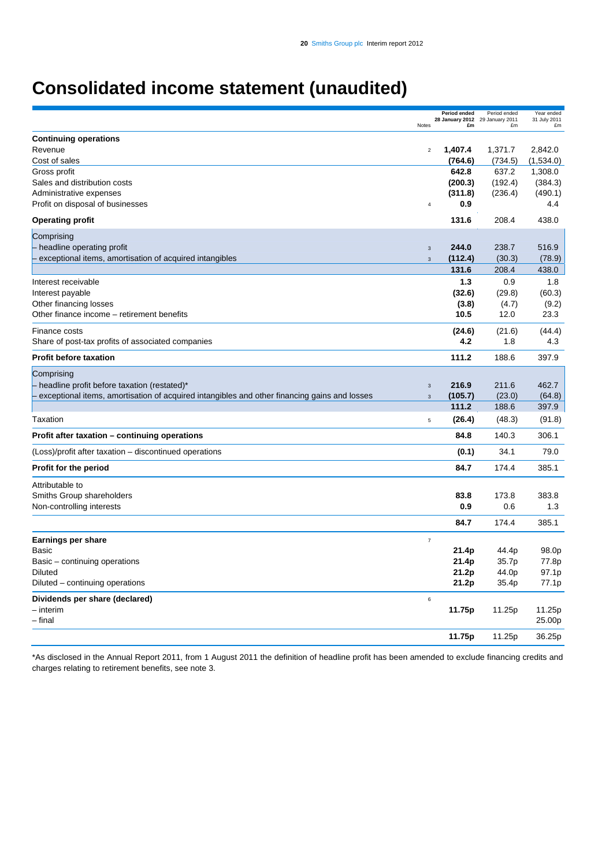# **Consolidated income statement (unaudited)**

|                                                                                                |                  | <b>Period ended</b>                   | Period ended   | Year ended                     |
|------------------------------------------------------------------------------------------------|------------------|---------------------------------------|----------------|--------------------------------|
|                                                                                                | Notes            | 28 January 2012 29 January 2011<br>£m | f <sub>m</sub> | 31 July 2011<br>f <sub>m</sub> |
| <b>Continuing operations</b>                                                                   |                  |                                       |                |                                |
| Revenue                                                                                        | $\overline{c}$   | 1,407.4                               | 1,371.7        | 2,842.0                        |
| Cost of sales                                                                                  |                  | (764.6)                               | (734.5)        | (1,534.0)                      |
| Gross profit                                                                                   |                  | 642.8                                 | 637.2          | 1,308.0                        |
| Sales and distribution costs                                                                   |                  | (200.3)                               | (192.4)        | (384.3)                        |
| Administrative expenses                                                                        |                  | (311.8)                               | (236.4)        | (490.1)                        |
| Profit on disposal of businesses                                                               | $\overline{4}$   | 0.9                                   |                | 4.4                            |
|                                                                                                |                  |                                       |                |                                |
| <b>Operating profit</b>                                                                        |                  | 131.6                                 | 208.4          | 438.0                          |
| Comprising                                                                                     |                  |                                       |                |                                |
| - headline operating profit                                                                    | $\overline{3}$   | 244.0                                 | 238.7          | 516.9                          |
| exceptional items, amortisation of acquired intangibles                                        | $\mathsf 3$      | (112.4)                               | (30.3)         | (78.9)                         |
|                                                                                                |                  | 131.6                                 | 208.4          | 438.0                          |
| Interest receivable                                                                            |                  | 1.3                                   | 0.9            | 1.8                            |
| Interest payable                                                                               |                  | (32.6)                                | (29.8)         | (60.3)                         |
| Other financing losses                                                                         |                  | (3.8)                                 | (4.7)          | (9.2)                          |
| Other finance income - retirement benefits                                                     |                  | 10.5                                  | 12.0           | 23.3                           |
|                                                                                                |                  |                                       |                |                                |
| Finance costs                                                                                  |                  | (24.6)                                | (21.6)         | (44.4)                         |
| Share of post-tax profits of associated companies                                              |                  | 4.2                                   | 1.8            | 4.3                            |
| <b>Profit before taxation</b>                                                                  |                  | 111.2                                 | 188.6          | 397.9                          |
| Comprising                                                                                     |                  |                                       |                |                                |
| - headline profit before taxation (restated)*                                                  | $\overline{3}$   | 216.9                                 | 211.6          | 462.7                          |
| - exceptional items, amortisation of acquired intangibles and other financing gains and losses | $\overline{3}$   | (105.7)                               | (23.0)         | (64.8)                         |
|                                                                                                |                  | 111.2                                 | 188.6          | 397.9                          |
| Taxation                                                                                       | 5                | (26.4)                                | (48.3)         | (91.8)                         |
|                                                                                                |                  |                                       |                |                                |
| Profit after taxation - continuing operations                                                  |                  | 84.8                                  | 140.3          | 306.1                          |
| (Loss)/profit after taxation – discontinued operations                                         |                  | (0.1)                                 | 34.1           | 79.0                           |
| Profit for the period                                                                          |                  | 84.7                                  | 174.4          | 385.1                          |
| Attributable to                                                                                |                  |                                       |                |                                |
| Smiths Group shareholders                                                                      |                  | 83.8                                  | 173.8          | 383.8                          |
| Non-controlling interests                                                                      |                  | 0.9                                   | 0.6            | 1.3                            |
|                                                                                                |                  | 84.7                                  | 174.4          | 385.1                          |
| <b>Earnings per share</b>                                                                      | $\boldsymbol{7}$ |                                       |                |                                |
| <b>Basic</b>                                                                                   |                  | 21.4p                                 | 44.4p          | 98.0p                          |
| Basic – continuing operations                                                                  |                  | 21.4p                                 | 35.7p          | 77.8p                          |
| <b>Diluted</b>                                                                                 |                  | 21.2p                                 | 44.0p          | 97.1p                          |
| Diluted – continuing operations                                                                |                  | 21.2p                                 | 35.4p          | 77.1p                          |
|                                                                                                |                  |                                       |                |                                |
| Dividends per share (declared)                                                                 | 6                |                                       |                |                                |
| - interim                                                                                      |                  | 11.75p                                | 11.25p         | 11.25p                         |
| – final                                                                                        |                  |                                       |                | 25.00p                         |
|                                                                                                |                  | 11.75p                                | 11.25p         | 36.25p                         |

\*As disclosed in the Annual Report 2011, from 1 August 2011 the definition of headline profit has been amended to exclude financing credits and charges relating to retirement benefits, see note 3.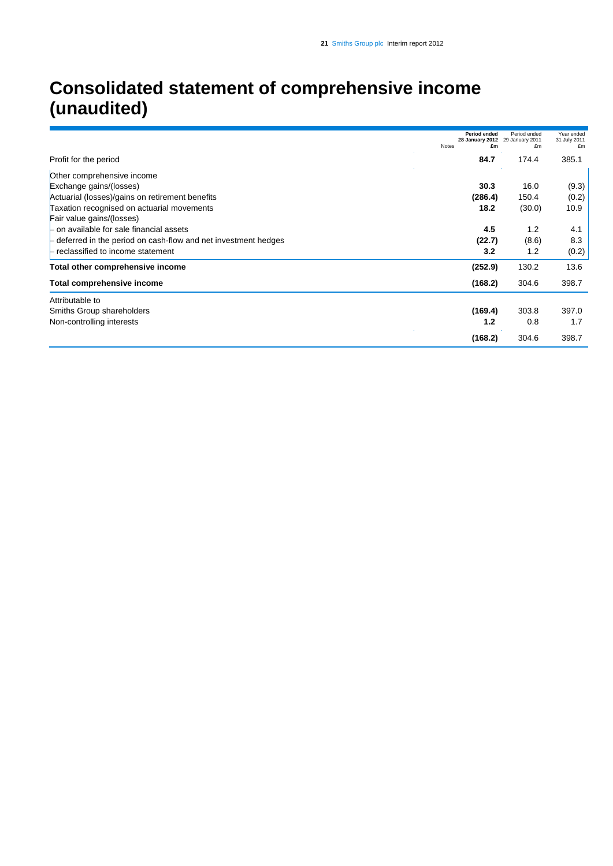# **Consolidated statement of comprehensive income (unaudited)**

|                                                                 | <b>Period ended</b>        | Period ended<br>28 January 2012 29 January 2011 | Year ended<br>31 July 2011 |
|-----------------------------------------------------------------|----------------------------|-------------------------------------------------|----------------------------|
| Profit for the period                                           | <b>Notes</b><br>£m<br>84.7 | £m<br>174.4                                     | £m<br>385.1                |
| Other comprehensive income                                      |                            |                                                 |                            |
| Exchange gains/(losses)                                         | 30.3                       | 16.0                                            | (9.3)                      |
| Actuarial (losses)/gains on retirement benefits                 | (286.4)                    | 150.4                                           | (0.2)                      |
| Taxation recognised on actuarial movements                      | 18.2                       | (30.0)                                          | 10.9                       |
| Fair value gains/(losses)                                       |                            |                                                 |                            |
| - on available for sale financial assets                        | 4.5                        | 1.2                                             | 4.1                        |
| - deferred in the period on cash-flow and net investment hedges | (22.7)                     | (8.6)                                           | 8.3                        |
| - reclassified to income statement                              | 3.2                        | 1.2                                             | (0.2)                      |
| Total other comprehensive income                                | (252.9)                    | 130.2                                           | 13.6                       |
| Total comprehensive income                                      | (168.2)                    | 304.6                                           | 398.7                      |
| Attributable to                                                 |                            |                                                 |                            |
| Smiths Group shareholders                                       | (169.4)                    | 303.8                                           | 397.0                      |
| Non-controlling interests                                       | 1.2                        | 0.8                                             | 1.7                        |
|                                                                 | (168.2)                    | 304.6                                           | 398.7                      |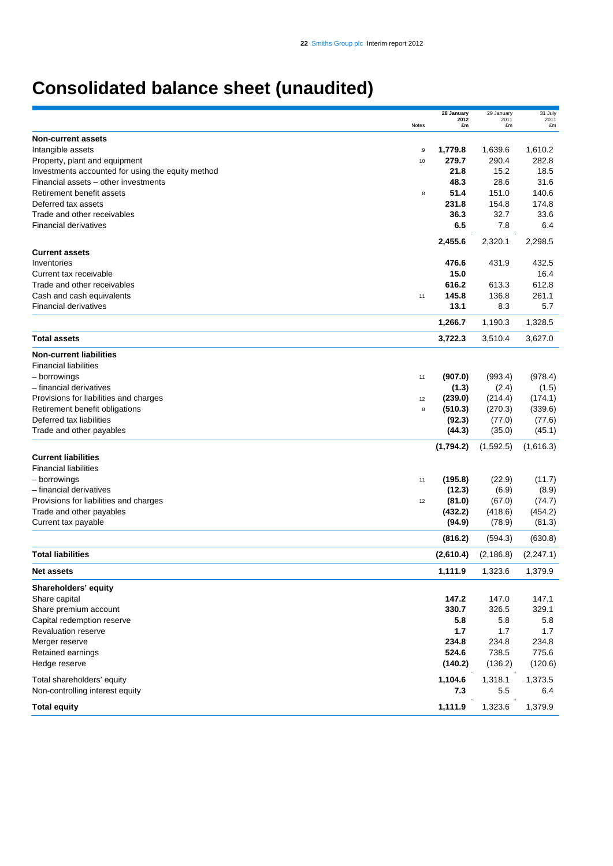# **Consolidated balance sheet (unaudited)**

|                                                   |        | 28 January<br>2012 | 29 January | 31 July<br>2011   |
|---------------------------------------------------|--------|--------------------|------------|-------------------|
|                                                   | Notes  | £m                 | 2011<br>£m | £m                |
| <b>Non-current assets</b>                         |        |                    |            |                   |
| Intangible assets                                 | 9      | 1,779.8            | 1,639.6    | 1,610.2           |
| Property, plant and equipment                     | 10     | 279.7              | 290.4      | 282.8             |
| Investments accounted for using the equity method |        | 21.8               | 15.2       | 18.5              |
| Financial assets – other investments              |        | 48.3               | 28.6       | 31.6              |
| Retirement benefit assets                         | $\bf8$ | 51.4               | 151.0      | 140.6             |
| Deferred tax assets                               |        | 231.8              | 154.8      | 174.8             |
| Trade and other receivables                       |        | 36.3               | 32.7       | 33.6              |
| <b>Financial derivatives</b>                      |        | 6.5                | 7.8        | 6.4               |
|                                                   |        | 2,455.6            | 2,320.1    | 2,298.5           |
| <b>Current assets</b>                             |        |                    |            |                   |
| Inventories                                       |        | 476.6              | 431.9      | 432.5             |
| Current tax receivable                            |        | 15.0               |            | 16.4              |
| Trade and other receivables                       |        | 616.2              | 613.3      | 612.8             |
| Cash and cash equivalents                         | 11     | 145.8              | 136.8      | 261.1             |
| <b>Financial derivatives</b>                      |        | 13.1               | 8.3        | 5.7               |
|                                                   |        |                    |            |                   |
|                                                   |        | 1,266.7            | 1,190.3    | 1,328.5           |
| <b>Total assets</b>                               |        | 3,722.3            | 3,510.4    | 3,627.0           |
| <b>Non-current liabilities</b>                    |        |                    |            |                   |
| <b>Financial liabilities</b>                      |        |                    |            |                   |
| - borrowings                                      |        | (907.0)            | (993.4)    | (978.4)           |
| - financial derivatives                           | 11     | (1.3)              | (2.4)      | (1.5)             |
| Provisions for liabilities and charges            | 12     | (239.0)            | (214.4)    | (174.1)           |
| Retirement benefit obligations                    | 8      | (510.3)            | (270.3)    | (339.6)           |
| Deferred tax liabilities                          |        | (92.3)             | (77.0)     | (77.6)            |
| Trade and other payables                          |        | (44.3)             | (35.0)     | (45.1)            |
|                                                   |        |                    |            |                   |
|                                                   |        | (1,794.2)          | (1,592.5)  | (1,616.3)         |
| <b>Current liabilities</b>                        |        |                    |            |                   |
| <b>Financial liabilities</b>                      |        |                    |            |                   |
| - borrowings                                      | 11     | (195.8)            | (22.9)     | (11.7)            |
| - financial derivatives                           |        | (12.3)             | (6.9)      | (8.9)             |
| Provisions for liabilities and charges            | 12     | (81.0)             | (67.0)     | (74.7)            |
| Trade and other payables                          |        | (432.2)            | (418.6)    | (454.2)<br>(81.3) |
| Current tax payable                               |        | (94.9)             | (78.9)     |                   |
|                                                   |        | (816.2)            | (594.3)    | (630.8)           |
| <b>Total liabilities</b>                          |        | (2,610.4)          | (2, 186.8) | (2, 247.1)        |
| Net assets                                        |        | 1,111.9            | 1,323.6    | 1,379.9           |
| Shareholders' equity                              |        |                    |            |                   |
| Share capital                                     |        | 147.2              | 147.0      | 147.1             |
| Share premium account                             |        | 330.7              | 326.5      | 329.1             |
| Capital redemption reserve                        |        | 5.8                | 5.8        | 5.8               |
| <b>Revaluation reserve</b>                        |        | $1.7$              | 1.7        | 1.7               |
| Merger reserve                                    |        | 234.8              | 234.8      | 234.8             |
| Retained earnings                                 |        | 524.6              | 738.5      | 775.6             |
| Hedge reserve                                     |        | (140.2)            | (136.2)    | (120.6)           |
| Total shareholders' equity                        |        | 1,104.6            | 1,318.1    | 1,373.5           |
| Non-controlling interest equity                   |        | 7.3                | 5.5        | 6.4               |
|                                                   |        |                    |            |                   |
| <b>Total equity</b>                               |        | 1,111.9            | 1,323.6    | 1,379.9           |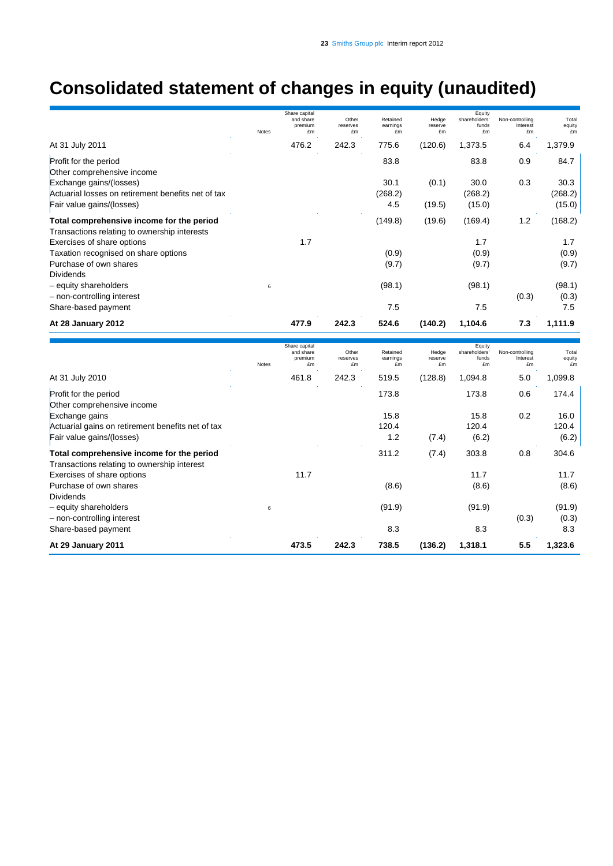# **Consolidated statement of changes in equity (unaudited)**

|                                                            | Notes | Share capital<br>and share<br>premium<br>£m | Other<br>reserves<br>£m | Retained<br>earnings<br>£m | Hedge<br>reserve<br>£m | Equity<br>shareholders'<br>funds<br>£m | Non-controlling<br>Interest<br>£m | Total<br>equity<br>£m |
|------------------------------------------------------------|-------|---------------------------------------------|-------------------------|----------------------------|------------------------|----------------------------------------|-----------------------------------|-----------------------|
| At 31 July 2011                                            |       | 476.2                                       | 242.3                   | 775.6                      | (120.6)                | 1,373.5                                | 6.4                               | 1,379.9               |
| <b>Profit for the period</b><br>Other comprehensive income |       |                                             |                         | 83.8                       |                        | 83.8                                   | 0.9                               | 84.7                  |
| Exchange gains/(losses)                                    |       |                                             |                         | 30.1                       | (0.1)                  | 30.0                                   | 0.3                               | 30.3                  |
| Actuarial losses on retirement benefits net of tax         |       |                                             |                         | (268.2)                    |                        | (268.2)                                |                                   | (268.2)               |
| Fair value gains/(losses)                                  |       |                                             |                         | 4.5                        | (19.5)                 | (15.0)                                 |                                   | (15.0)                |
| Total comprehensive income for the period                  |       |                                             |                         | (149.8)                    | (19.6)                 | (169.4)                                | 1.2                               | (168.2)               |
| Transactions relating to ownership interests               |       |                                             |                         |                            |                        |                                        |                                   |                       |
| Exercises of share options                                 |       | 1.7                                         |                         |                            |                        | 1.7                                    |                                   | 1.7                   |
| Taxation recognised on share options                       |       |                                             |                         | (0.9)                      |                        | (0.9)                                  |                                   | (0.9)                 |
| Purchase of own shares                                     |       |                                             |                         | (9.7)                      |                        | (9.7)                                  |                                   | (9.7)                 |
| <b>Dividends</b>                                           |       |                                             |                         |                            |                        |                                        |                                   |                       |
| - equity shareholders                                      | 6     |                                             |                         | (98.1)                     |                        | (98.1)                                 |                                   | (98.1)                |
| - non-controlling interest                                 |       |                                             |                         |                            |                        |                                        | (0.3)                             | (0.3)                 |
| Share-based payment                                        |       |                                             |                         | 7.5                        |                        | 7.5                                    |                                   | 7.5                   |
| At 28 January 2012                                         |       | 477.9                                       | 242.3                   | 524.6                      | (140.2)                | 1,104.6                                | 7.3                               | 1,111.9               |

|                                                   | <b>Notes</b> | Share capital<br>and share<br>premium<br>£m | Other<br>reserves<br>£m | Retained<br>earnings<br>£m | Hedge<br>reserve<br>£m | Equity<br>shareholders'<br>funds<br>£m | Non-controlling<br>Interest<br>£m | Total<br>equity<br>£m |
|---------------------------------------------------|--------------|---------------------------------------------|-------------------------|----------------------------|------------------------|----------------------------------------|-----------------------------------|-----------------------|
| At 31 July 2010                                   |              | 461.8                                       | 242.3                   | 519.5                      | (128.8)                | 1,094.8                                | 5.0                               | 1,099.8               |
| Profit for the period                             |              |                                             |                         | 173.8                      |                        | 173.8                                  | 0.6                               | 174.4                 |
| Other comprehensive income                        |              |                                             |                         |                            |                        |                                        |                                   |                       |
| Exchange gains                                    |              |                                             |                         | 15.8                       |                        | 15.8                                   | 0.2                               | 16.0                  |
| Actuarial gains on retirement benefits net of tax |              |                                             |                         | 120.4                      |                        | 120.4                                  |                                   | 120.4                 |
| Fair value gains/(losses)                         |              |                                             |                         | 1.2                        | (7.4)                  | (6.2)                                  |                                   | (6.2)                 |
| Total comprehensive income for the period         |              |                                             |                         | 311.2                      | (7.4)                  | 303.8                                  | 0.8                               | 304.6                 |
| Transactions relating to ownership interest       |              |                                             |                         |                            |                        |                                        |                                   |                       |
| Exercises of share options                        |              | 11.7                                        |                         |                            |                        | 11.7                                   |                                   | 11.7                  |
| Purchase of own shares                            |              |                                             |                         | (8.6)                      |                        | (8.6)                                  |                                   | (8.6)                 |
| <b>Dividends</b>                                  |              |                                             |                         |                            |                        |                                        |                                   |                       |
| - equity shareholders                             | 6            |                                             |                         | (91.9)                     |                        | (91.9)                                 |                                   | (91.9)                |
| - non-controlling interest                        |              |                                             |                         |                            |                        |                                        | (0.3)                             | (0.3)                 |
| Share-based payment                               |              |                                             |                         | 8.3                        |                        | 8.3                                    |                                   | 8.3                   |
| At 29 January 2011                                |              | 473.5                                       | 242.3                   | 738.5                      | (136.2)                | 1,318.1                                | 5.5                               | 1,323.6               |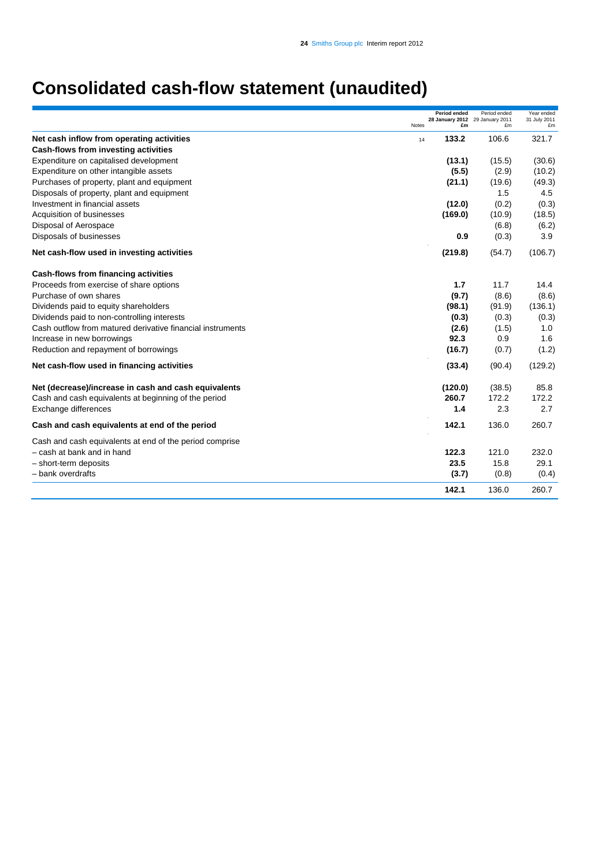# **Consolidated cash-flow statement (unaudited)**

|                                                            |       | Period ended                          | Period ended | Year ended         |
|------------------------------------------------------------|-------|---------------------------------------|--------------|--------------------|
|                                                            | Notes | 28 January 2012 29 January 2011<br>£m | £m           | 31 July 2011<br>£m |
| Net cash inflow from operating activities                  | 14    | 133.2                                 | 106.6        | 321.7              |
| Cash-flows from investing activities                       |       |                                       |              |                    |
| Expenditure on capitalised development                     |       | (13.1)                                | (15.5)       | (30.6)             |
| Expenditure on other intangible assets                     |       | (5.5)                                 | (2.9)        | (10.2)             |
| Purchases of property, plant and equipment                 |       | (21.1)                                | (19.6)       | (49.3)             |
| Disposals of property, plant and equipment                 |       |                                       | 1.5          | 4.5                |
| Investment in financial assets                             |       | (12.0)                                | (0.2)        | (0.3)              |
| Acquisition of businesses                                  |       | (169.0)                               | (10.9)       | (18.5)             |
| Disposal of Aerospace                                      |       |                                       | (6.8)        | (6.2)              |
| Disposals of businesses                                    |       | 0.9                                   | (0.3)        | 3.9                |
| Net cash-flow used in investing activities                 |       | (219.8)                               | (54.7)       | (106.7)            |
| Cash-flows from financing activities                       |       |                                       |              |                    |
| Proceeds from exercise of share options                    |       | 1.7                                   | 11.7         | 14.4               |
| Purchase of own shares                                     |       | (9.7)                                 | (8.6)        | (8.6)              |
| Dividends paid to equity shareholders                      |       | (98.1)                                | (91.9)       | (136.1)            |
| Dividends paid to non-controlling interests                |       | (0.3)                                 | (0.3)        | (0.3)              |
| Cash outflow from matured derivative financial instruments |       | (2.6)                                 | (1.5)        | 1.0                |
| Increase in new borrowings                                 |       | 92.3                                  | 0.9          | 1.6                |
| Reduction and repayment of borrowings                      |       | (16.7)                                | (0.7)        | (1.2)              |
| Net cash-flow used in financing activities                 |       | (33.4)                                | (90.4)       | (129.2)            |
| Net (decrease)/increase in cash and cash equivalents       |       | (120.0)                               | (38.5)       | 85.8               |
| Cash and cash equivalents at beginning of the period       |       | 260.7                                 | 172.2        | 172.2              |
| Exchange differences                                       |       | 1.4                                   | 2.3          | 2.7                |
| Cash and cash equivalents at end of the period             |       | 142.1                                 | 136.0        | 260.7              |
| Cash and cash equivalents at end of the period comprise    |       |                                       |              |                    |
| - cash at bank and in hand                                 |       | 122.3                                 | 121.0        | 232.0              |
| - short-term deposits                                      |       | 23.5                                  | 15.8         | 29.1               |
| - bank overdrafts                                          |       | (3.7)                                 | (0.8)        | (0.4)              |
|                                                            |       | 142.1                                 | 136.0        | 260.7              |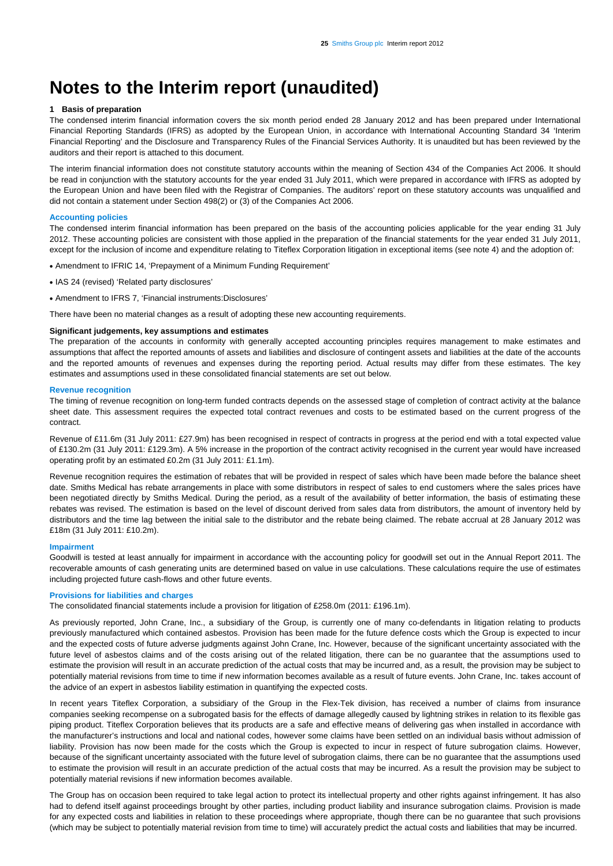# **Notes to the Interim report (unaudited)**

#### **1 Basis of preparation**

The condensed interim financial information covers the six month period ended 28 January 2012 and has been prepared under International Financial Reporting Standards (IFRS) as adopted by the European Union, in accordance with International Accounting Standard 34 'Interim Financial Reporting' and the Disclosure and Transparency Rules of the Financial Services Authority. It is unaudited but has been reviewed by the auditors and their report is attached to this document.

The interim financial information does not constitute statutory accounts within the meaning of Section 434 of the Companies Act 2006. It should be read in conjunction with the statutory accounts for the year ended 31 July 2011, which were prepared in accordance with IFRS as adopted by the European Union and have been filed with the Registrar of Companies. The auditors' report on these statutory accounts was unqualified and did not contain a statement under Section 498(2) or (3) of the Companies Act 2006.

#### **Accounting policies**

The condensed interim financial information has been prepared on the basis of the accounting policies applicable for the year ending 31 July 2012. These accounting policies are consistent with those applied in the preparation of the financial statements for the year ended 31 July 2011, except for the inclusion of income and expenditure relating to Titeflex Corporation litigation in exceptional items (see note 4) and the adoption of:

- Amendment to IFRIC 14, 'Prepayment of a Minimum Funding Requirement'
- IAS 24 (revised) 'Related party disclosures'
- Amendment to IFRS 7, 'Financial instruments:Disclosures'

There have been no material changes as a result of adopting these new accounting requirements.

#### **Significant judgements, key assumptions and estimates**

The preparation of the accounts in conformity with generally accepted accounting principles requires management to make estimates and assumptions that affect the reported amounts of assets and liabilities and disclosure of contingent assets and liabilities at the date of the accounts and the reported amounts of revenues and expenses during the reporting period. Actual results may differ from these estimates. The key estimates and assumptions used in these consolidated financial statements are set out below.

#### **Revenue recognition**

The timing of revenue recognition on long-term funded contracts depends on the assessed stage of completion of contract activity at the balance sheet date. This assessment requires the expected total contract revenues and costs to be estimated based on the current progress of the contract.

Revenue of £11.6m (31 July 2011: £27.9m) has been recognised in respect of contracts in progress at the period end with a total expected value of £130.2m (31 July 2011: £129.3m). A 5% increase in the proportion of the contract activity recognised in the current year would have increased operating profit by an estimated £0.2m (31 July 2011: £1.1m).

Revenue recognition requires the estimation of rebates that will be provided in respect of sales which have been made before the balance sheet date. Smiths Medical has rebate arrangements in place with some distributors in respect of sales to end customers where the sales prices have been negotiated directly by Smiths Medical. During the period, as a result of the availability of better information, the basis of estimating these rebates was revised. The estimation is based on the level of discount derived from sales data from distributors, the amount of inventory held by distributors and the time lag between the initial sale to the distributor and the rebate being claimed. The rebate accrual at 28 January 2012 was £18m (31 July 2011: £10.2m).

#### **Impairment**

Goodwill is tested at least annually for impairment in accordance with the accounting policy for goodwill set out in the Annual Report 2011. The recoverable amounts of cash generating units are determined based on value in use calculations. These calculations require the use of estimates including projected future cash-flows and other future events.

#### **Provisions for liabilities and charges**

The consolidated financial statements include a provision for litigation of £258.0m (2011: £196.1m).

As previously reported, John Crane, Inc., a subsidiary of the Group, is currently one of many co-defendants in litigation relating to products previously manufactured which contained asbestos. Provision has been made for the future defence costs which the Group is expected to incur and the expected costs of future adverse judgments against John Crane, Inc. However, because of the significant uncertainty associated with the future level of asbestos claims and of the costs arising out of the related litigation, there can be no guarantee that the assumptions used to estimate the provision will result in an accurate prediction of the actual costs that may be incurred and, as a result, the provision may be subject to potentially material revisions from time to time if new information becomes available as a result of future events. John Crane, Inc. takes account of the advice of an expert in asbestos liability estimation in quantifying the expected costs.

In recent years Titeflex Corporation, a subsidiary of the Group in the Flex-Tek division, has received a number of claims from insurance companies seeking recompense on a subrogated basis for the effects of damage allegedly caused by lightning strikes in relation to its flexible gas piping product. Titeflex Corporation believes that its products are a safe and effective means of delivering gas when installed in accordance with the manufacturer's instructions and local and national codes, however some claims have been settled on an individual basis without admission of liability. Provision has now been made for the costs which the Group is expected to incur in respect of future subrogation claims. However, because of the significant uncertainty associated with the future level of subrogation claims, there can be no guarantee that the assumptions used to estimate the provision will result in an accurate prediction of the actual costs that may be incurred. As a result the provision may be subject to potentially material revisions if new information becomes available.

The Group has on occasion been required to take legal action to protect its intellectual property and other rights against infringement. It has also had to defend itself against proceedings brought by other parties, including product liability and insurance subrogation claims. Provision is made for any expected costs and liabilities in relation to these proceedings where appropriate, though there can be no guarantee that such provisions (which may be subject to potentially material revision from time to time) will accurately predict the actual costs and liabilities that may be incurred.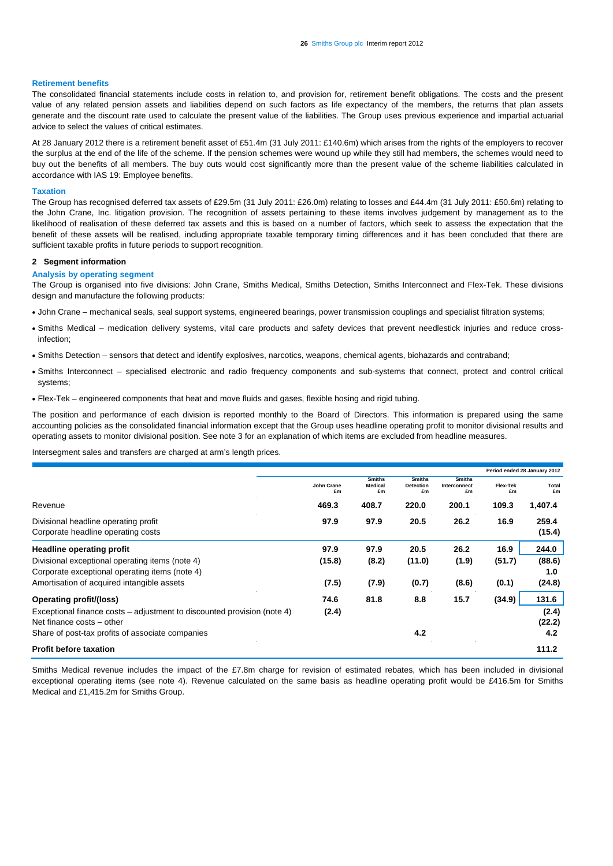#### **Retirement benefits**

The consolidated financial statements include costs in relation to, and provision for, retirement benefit obligations. The costs and the present value of any related pension assets and liabilities depend on such factors as life expectancy of the members, the returns that plan assets generate and the discount rate used to calculate the present value of the liabilities. The Group uses previous experience and impartial actuarial advice to select the values of critical estimates.

At 28 January 2012 there is a retirement benefit asset of £51.4m (31 July 2011: £140.6m) which arises from the rights of the employers to recover the surplus at the end of the life of the scheme. If the pension schemes were wound up while they still had members, the schemes would need to buy out the benefits of all members. The buy outs would cost significantly more than the present value of the scheme liabilities calculated in accordance with IAS 19: Employee benefits.

#### **Taxation**

The Group has recognised deferred tax assets of £29.5m (31 July 2011: £26.0m) relating to losses and £44.4m (31 July 2011: £50.6m) relating to the John Crane, Inc. litigation provision. The recognition of assets pertaining to these items involves judgement by management as to the likelihood of realisation of these deferred tax assets and this is based on a number of factors, which seek to assess the expectation that the benefit of these assets will be realised, including appropriate taxable temporary timing differences and it has been concluded that there are sufficient taxable profits in future periods to support recognition.

#### **2 Segment information**

#### **Analysis by operating segment**

The Group is organised into five divisions: John Crane, Smiths Medical, Smiths Detection, Smiths Interconnect and Flex-Tek. These divisions design and manufacture the following products:

- John Crane mechanical seals, seal support systems, engineered bearings, power transmission couplings and specialist filtration systems;
- Smiths Medical medication delivery systems, vital care products and safety devices that prevent needlestick injuries and reduce crossinfection;
- Smiths Detection sensors that detect and identify explosives, narcotics, weapons, chemical agents, biohazards and contraband;
- Smiths Interconnect specialised electronic and radio frequency components and sub-systems that connect, protect and control critical systems;
- Flex-Tek engineered components that heat and move fluids and gases, flexible hosing and rigid tubing.

The position and performance of each division is reported monthly to the Board of Directors. This information is prepared using the same accounting policies as the consolidated financial information except that the Group uses headline operating profit to monitor divisional results and operating assets to monitor divisional position. See note 3 for an explanation of which items are excluded from headline measures.

Intersegment sales and transfers are charged at arm's length prices.

|                                                                         |                  |                                       |                                         |                                     |                | Period ended 28 January 2012 |
|-------------------------------------------------------------------------|------------------|---------------------------------------|-----------------------------------------|-------------------------------------|----------------|------------------------------|
|                                                                         | John Crane<br>£m | <b>Smiths</b><br><b>Medical</b><br>£m | <b>Smiths</b><br><b>Detection</b><br>£m | <b>Smiths</b><br>Interconnect<br>£m | Flex-Tek<br>£m | Total<br>£m                  |
| Revenue                                                                 | 469.3            | 408.7                                 | 220.0                                   | 200.1                               | 109.3          | 1,407.4                      |
| Divisional headline operating profit                                    | 97.9             | 97.9                                  | 20.5                                    | 26.2                                | 16.9           | 259.4                        |
| Corporate headline operating costs                                      |                  |                                       |                                         |                                     |                | (15.4)                       |
| <b>Headline operating profit</b>                                        | 97.9             | 97.9                                  | 20.5                                    | 26.2                                | 16.9           | 244.0                        |
| Divisional exceptional operating items (note 4)                         | (15.8)           | (8.2)                                 | (11.0)                                  | (1.9)                               | (51.7)         | (88.6)                       |
| Corporate exceptional operating items (note 4)                          |                  |                                       |                                         |                                     |                | 1.0                          |
| Amortisation of acquired intangible assets                              | (7.5)            | (7.9)                                 | (0.7)                                   | (8.6)                               | (0.1)          | (24.8)                       |
| <b>Operating profit/(loss)</b>                                          | 74.6             | 81.8                                  | 8.8                                     | 15.7                                | (34.9)         | 131.6                        |
| Exceptional finance costs – adjustment to discounted provision (note 4) | (2.4)            |                                       |                                         |                                     |                | (2.4)                        |
| Net finance costs – other                                               |                  |                                       |                                         |                                     |                | (22.2)                       |
| Share of post-tax profits of associate companies                        |                  |                                       | 4.2                                     |                                     |                | 4.2                          |
| <b>Profit before taxation</b>                                           |                  |                                       |                                         |                                     |                | 111.2                        |

Smiths Medical revenue includes the impact of the £7.8m charge for revision of estimated rebates, which has been included in divisional exceptional operating items (see note 4). Revenue calculated on the same basis as headline operating profit would be £416.5m for Smiths Medical and £1,415.2m for Smiths Group.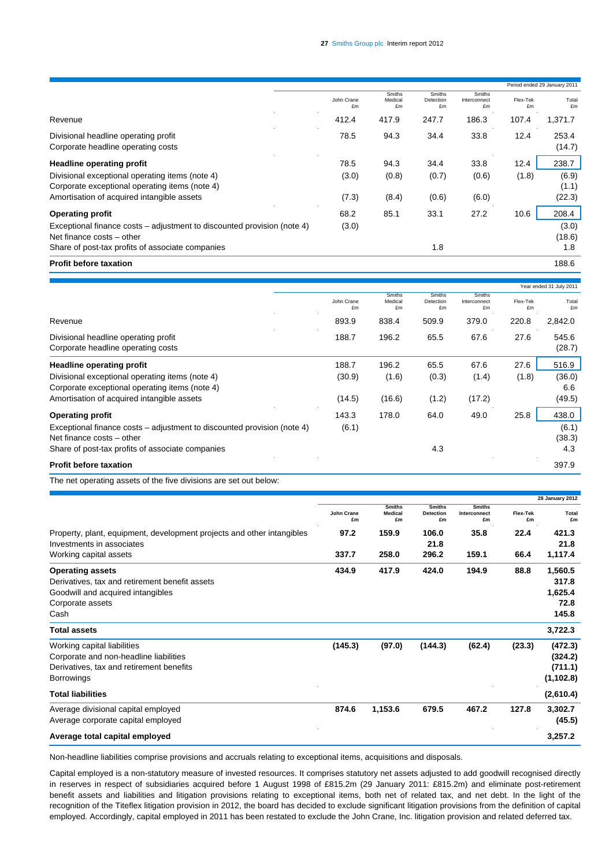|                                                                                                      |                  |                         |                           |                              |                | Period ended 29 January 2011 |
|------------------------------------------------------------------------------------------------------|------------------|-------------------------|---------------------------|------------------------------|----------------|------------------------------|
|                                                                                                      | John Crane<br>£m | Smiths<br>Medical<br>£m | Smiths<br>Detection<br>£m | Smiths<br>Interconnect<br>£m | Flex-Tek<br>£m | Total<br>£m                  |
| Revenue                                                                                              | 412.4            | 417.9                   | 247.7                     | 186.3                        | 107.4          | 1,371.7                      |
| Divisional headline operating profit<br>Corporate headline operating costs                           | 78.5             | 94.3                    | 34.4                      | 33.8                         | 12.4           | 253.4<br>(14.7)              |
| Headline operating profit                                                                            | 78.5             | 94.3                    | 34.4                      | 33.8                         | 12.4           | 238.7                        |
| Divisional exceptional operating items (note 4)<br>Corporate exceptional operating items (note 4)    | (3.0)            | (0.8)                   | (0.7)                     | (0.6)                        | (1.8)          | (6.9)<br>(1.1)               |
| Amortisation of acquired intangible assets                                                           | (7.3)            | (8.4)                   | (0.6)                     | (6.0)                        |                | (22.3)                       |
| <b>Operating profit</b>                                                                              | 68.2             | 85.1                    | 33.1                      | 27.2                         | 10.6           | 208.4                        |
| Exceptional finance costs – adjustment to discounted provision (note 4)<br>Net finance costs – other | (3.0)            |                         |                           |                              |                | (3.0)<br>(18.6)              |
| Share of post-tax profits of associate companies                                                     |                  |                         | 1.8                       |                              |                | 1.8                          |
| <b>Profit before taxation</b>                                                                        |                  |                         |                           |                              |                | 188.6                        |

|                                                                         |                  |                         |                           |                              |                | Year ended 31 July 2011 |
|-------------------------------------------------------------------------|------------------|-------------------------|---------------------------|------------------------------|----------------|-------------------------|
|                                                                         | John Crane<br>£m | Smiths<br>Medical<br>£m | Smiths<br>Detection<br>£m | Smiths<br>Interconnect<br>£m | Flex-Tek<br>£m | Total<br>£m             |
| Revenue                                                                 | 893.9            | 838.4                   | 509.9                     | 379.0                        | 220.8          | 2,842.0                 |
| Divisional headline operating profit                                    | 188.7            | 196.2                   | 65.5                      | 67.6                         | 27.6           | 545.6                   |
| Corporate headline operating costs                                      |                  |                         |                           |                              |                | (28.7)                  |
| <b>Headline operating profit</b>                                        | 188.7            | 196.2                   | 65.5                      | 67.6                         | 27.6           | 516.9                   |
| Divisional exceptional operating items (note 4)                         | (30.9)           | (1.6)                   | (0.3)                     | (1.4)                        | (1.8)          | (36.0)                  |
| Corporate exceptional operating items (note 4)                          |                  |                         |                           |                              |                | 6.6                     |
| Amortisation of acquired intangible assets                              | (14.5)           | (16.6)                  | (1.2)                     | (17.2)                       |                | (49.5)                  |
| <b>Operating profit</b>                                                 | 143.3            | 178.0                   | 64.0                      | 49.0                         | 25.8           | 438.0                   |
| Exceptional finance costs – adjustment to discounted provision (note 4) | (6.1)            |                         |                           |                              |                | (6.1)                   |
| Net finance costs – other                                               |                  |                         |                           |                              |                | (38.3)                  |
| Share of post-tax profits of associate companies                        |                  |                         | 4.3                       |                              |                | 4.3                     |
| <b>Profit before taxation</b>                                           |                  |                         |                           |                              |                | 397.9                   |

The net operating assets of the five divisions are set out below:

|                                                                        |                  |                                       |                                         |                                     |                | <b>28 January 2012</b> |
|------------------------------------------------------------------------|------------------|---------------------------------------|-----------------------------------------|-------------------------------------|----------------|------------------------|
|                                                                        | John Crane<br>£m | <b>Smiths</b><br><b>Medical</b><br>£m | <b>Smiths</b><br><b>Detection</b><br>£m | <b>Smiths</b><br>Interconnect<br>£m | Flex-Tek<br>£m | Total<br>£m            |
| Property, plant, equipment, development projects and other intangibles | 97.2             | 159.9                                 | 106.0                                   | 35.8                                | 22.4           | 421.3                  |
| Investments in associates                                              |                  |                                       | 21.8                                    |                                     |                | 21.8                   |
| Working capital assets                                                 | 337.7            | 258.0                                 | 296.2                                   | 159.1                               | 66.4           | 1,117.4                |
| <b>Operating assets</b>                                                | 434.9            | 417.9                                 | 424.0                                   | 194.9                               | 88.8           | 1,560.5                |
| Derivatives, tax and retirement benefit assets                         |                  |                                       |                                         |                                     |                | 317.8                  |
| Goodwill and acquired intangibles                                      |                  |                                       |                                         |                                     |                | 1,625.4                |
| Corporate assets                                                       |                  |                                       |                                         |                                     |                | 72.8                   |
| Cash                                                                   |                  |                                       |                                         |                                     |                | 145.8                  |
| <b>Total assets</b>                                                    |                  |                                       |                                         |                                     |                | 3,722.3                |
| Working capital liabilities                                            | (145.3)          | (97.0)                                | (144.3)                                 | (62.4)                              | (23.3)         | (472.3)                |
| Corporate and non-headline liabilities                                 |                  |                                       |                                         |                                     |                | (324.2)                |
| Derivatives, tax and retirement benefits                               |                  |                                       |                                         |                                     |                | (711.1)                |
| <b>Borrowings</b>                                                      |                  |                                       |                                         |                                     |                | (1, 102.8)             |
| <b>Total liabilities</b>                                               |                  |                                       |                                         |                                     |                | (2,610.4)              |
| Average divisional capital employed                                    | 874.6            | 1,153.6                               | 679.5                                   | 467.2                               | 127.8          | 3,302.7                |
| Average corporate capital employed                                     |                  |                                       |                                         |                                     |                | (45.5)                 |
| Average total capital employed                                         |                  |                                       |                                         |                                     |                | 3,257.2                |

Non-headline liabilities comprise provisions and accruals relating to exceptional items, acquisitions and disposals.

Capital employed is a non-statutory measure of invested resources. It comprises statutory net assets adjusted to add goodwill recognised directly in reserves in respect of subsidiaries acquired before 1 August 1998 of £815.2m (29 January 2011: £815.2m) and eliminate post-retirement benefit assets and liabilities and litigation provisions relating to exceptional items, both net of related tax, and net debt. In the light of the recognition of the Titeflex litigation provision in 2012, the board has decided to exclude significant litigation provisions from the definition of capital employed. Accordingly, capital employed in 2011 has been restated to exclude the John Crane, Inc. litigation provision and related deferred tax.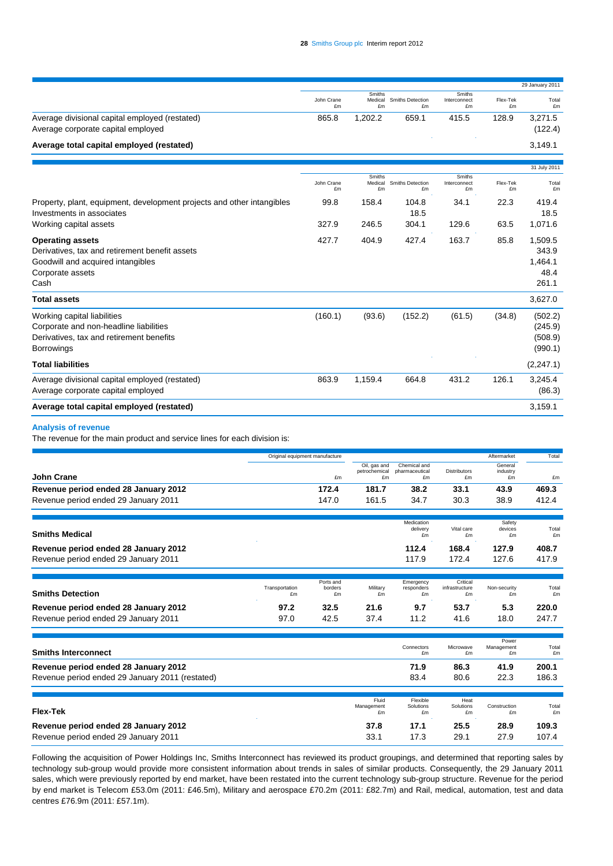|                                                                                                                                            |                  |                         |                                |                              |                | 29 January 2011                              |
|--------------------------------------------------------------------------------------------------------------------------------------------|------------------|-------------------------|--------------------------------|------------------------------|----------------|----------------------------------------------|
|                                                                                                                                            | John Crane<br>£m | Smiths<br>£m            | Medical Smiths Detection<br>£m | Smiths<br>Interconnect<br>£m | Flex-Tek<br>£m | Total<br>£m                                  |
| Average divisional capital employed (restated)<br>Average corporate capital employed                                                       | 865.8            | 1,202.2                 | 659.1                          | 415.5                        | 128.9          | 3.271.5<br>(122.4)                           |
| Average total capital employed (restated)                                                                                                  |                  |                         |                                |                              |                | 3,149.1                                      |
|                                                                                                                                            |                  |                         |                                |                              |                |                                              |
|                                                                                                                                            | John Crane<br>£m | Smiths<br>Medical<br>£m | Smiths Detection<br>£m         | Smiths<br>Interconnect<br>£m | Flex-Tek<br>£m | 31 July 2011<br>Total<br>£m                  |
| Property, plant, equipment, development projects and other intangibles<br>Investments in associates                                        | 99.8             | 158.4                   | 104.8<br>18.5                  | 34.1                         | 22.3           | 419.4<br>18.5                                |
| Working capital assets                                                                                                                     | 327.9            | 246.5                   | 304.1                          | 129.6                        | 63.5           | 1,071.6                                      |
| <b>Operating assets</b><br>Derivatives, tax and retirement benefit assets<br>Goodwill and acquired intangibles<br>Corporate assets<br>Cash | 427.7            | 404.9                   | 427.4                          | 163.7                        | 85.8           | 1,509.5<br>343.9<br>1,464.1<br>48.4<br>261.1 |
| <b>Total assets</b>                                                                                                                        |                  |                         |                                |                              |                | 3,627.0                                      |
| Working capital liabilities<br>Corporate and non-headline liabilities<br>Derivatives, tax and retirement benefits<br><b>Borrowings</b>     | (160.1)          | (93.6)                  | (152.2)                        | (61.5)                       | (34.8)         | (502.2)<br>(245.9)<br>(508.9)<br>(990.1)     |
| <b>Total liabilities</b>                                                                                                                   |                  |                         |                                |                              |                | (2, 247.1)                                   |
| Average divisional capital employed (restated)<br>Average corporate capital employed                                                       | 863.9            | 1,159.4                 | 664.8                          | 431.2                        | 126.1          | 3.245.4<br>(86.3)                            |
| Average total capital employed (restated)                                                                                                  |                  |                         |                                |                              |                | 3,159.1                                      |

#### **Analysis of revenue**

The revenue for the main product and service lines for each division is:

|                                                 | Original equipment manufacture |               |                     |                      |                           | Aftermarket               | Total       |
|-------------------------------------------------|--------------------------------|---------------|---------------------|----------------------|---------------------------|---------------------------|-------------|
|                                                 |                                |               | Oil, gas and        | Chemical and         |                           | General                   |             |
| John Crane                                      |                                | £m            | petrochemical<br>£m | pharmaceutical<br>£m | <b>Distributors</b><br>£m | industry<br>£m            | £m          |
|                                                 |                                |               |                     |                      |                           |                           |             |
| Revenue period ended 28 January 2012            |                                | 172.4         | 181.7               | 38.2                 | 33.1                      | 43.9                      | 469.3       |
| Revenue period ended 29 January 2011            |                                | 147.0         | 161.5               | 34.7                 | 30.3                      | 38.9                      | 412.4       |
|                                                 |                                |               |                     | Medication           |                           | Safety                    |             |
| <b>Smiths Medical</b>                           |                                |               |                     | delivery<br>£m       | Vital care<br>£m          | devices<br>£m             | Total<br>£m |
| Revenue period ended 28 January 2012            |                                |               |                     | 112.4                | 168.4                     | 127.9                     | 408.7       |
| Revenue period ended 29 January 2011            |                                |               |                     | 117.9                | 172.4                     | 127.6                     | 417.9       |
|                                                 |                                | Ports and     |                     | Emergency            | Critical                  |                           |             |
| <b>Smiths Detection</b>                         | Transportation<br>£m           | borders<br>£m | Military<br>£m      | responders<br>£m     | infrastructure<br>£m      | Non-security<br>£m        | Total<br>£m |
| Revenue period ended 28 January 2012            | 97.2                           | 32.5          | 21.6                | 9.7                  | 53.7                      | 5.3                       | 220.0       |
| Revenue period ended 29 January 2011            | 97.0                           | 42.5          | 37.4                | 11.2                 | 41.6                      | 18.0                      | 247.7       |
|                                                 |                                |               |                     |                      |                           |                           |             |
| <b>Smiths Interconnect</b>                      |                                |               |                     | Connectors<br>£m     | Microwave<br>£m           | Power<br>Management<br>£m | Total<br>£m |
| Revenue period ended 28 January 2012            |                                |               |                     | 71.9                 | 86.3                      | 41.9                      | 200.1       |
| Revenue period ended 29 January 2011 (restated) |                                |               |                     | 83.4                 | 80.6                      | 22.3                      | 186.3       |

| <b>INCRUTIQUE DUITOU UITQUU ZU UDITQUI V ZU I I TTUBIQILUU</b> |                           | ר.טט                        | vv.v                    | 22.0               | 1 UU.U      |
|----------------------------------------------------------------|---------------------------|-----------------------------|-------------------------|--------------------|-------------|
|                                                                |                           |                             |                         |                    |             |
| <b>Flex-Tek</b>                                                | Fluid<br>Management<br>£m | Flexible<br>Solutions<br>£m | Heat<br>Solutions<br>£m | Construction<br>£m | Total<br>£m |
| Revenue period ended 28 January 2012                           | 37.8                      | 17.1                        | 25.5                    | 28.9               | 109.3       |
| Revenue period ended 29 January 2011                           | 33.1                      | 17.3                        | 29.1                    | 27.9               | 107.4       |

Following the acquisition of Power Holdings Inc, Smiths Interconnect has reviewed its product groupings, and determined that reporting sales by technology sub-group would provide more consistent information about trends in sales of similar products. Consequently, the 29 January 2011 sales, which were previously reported by end market, have been restated into the current technology sub-group structure. Revenue for the period by end market is Telecom £53.0m (2011: £46.5m), Military and aerospace £70.2m (2011: £82.7m) and Rail, medical, automation, test and data centres £76.9m (2011: £57.1m).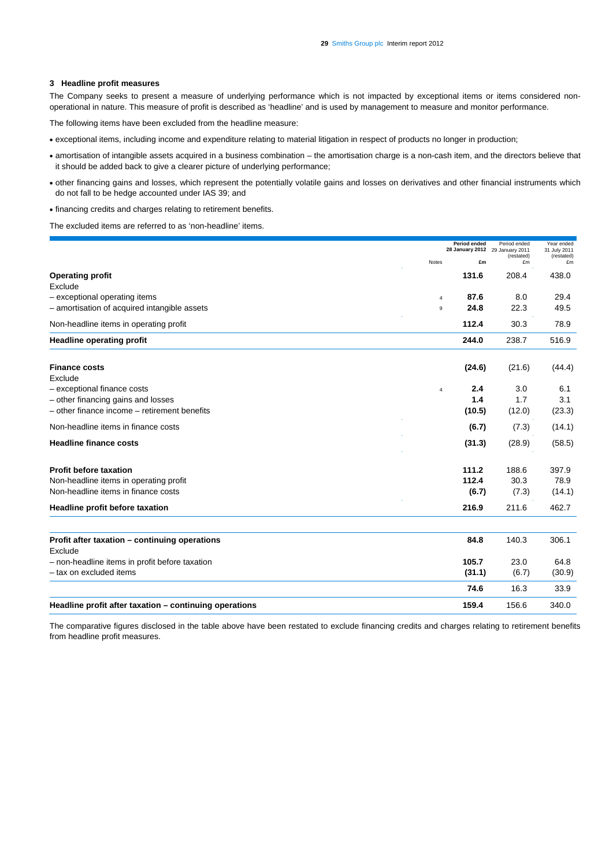#### **3 Headline profit measures**

The Company seeks to present a measure of underlying performance which is not impacted by exceptional items or items considered nonoperational in nature. This measure of profit is described as 'headline' and is used by management to measure and monitor performance.

The following items have been excluded from the headline measure:

- exceptional items, including income and expenditure relating to material litigation in respect of products no longer in production;
- amortisation of intangible assets acquired in a business combination the amortisation charge is a non-cash item, and the directors believe that it should be added back to give a clearer picture of underlying performance;
- other financing gains and losses, which represent the potentially volatile gains and losses on derivatives and other financial instruments which do not fall to be hedge accounted under IAS 39; and
- financing credits and charges relating to retirement benefits.

The excluded items are referred to as 'non-headline' items.

|                                                        |                | Period ended<br>28 January 2012 29 January 2011 | Period ended<br>(restated) | Year ended<br>31 July 2011<br>(restated) |
|--------------------------------------------------------|----------------|-------------------------------------------------|----------------------------|------------------------------------------|
|                                                        | Notes          | £m                                              | £m                         | £m                                       |
| <b>Operating profit</b>                                |                | 131.6                                           | 208.4                      | 438.0                                    |
| Exclude                                                |                |                                                 |                            |                                          |
| - exceptional operating items                          | $\overline{4}$ | 87.6                                            | 8.0                        | 29.4                                     |
| - amortisation of acquired intangible assets           | 9              | 24.8                                            | 22.3                       | 49.5                                     |
| Non-headline items in operating profit                 |                | 112.4                                           | 30.3                       | 78.9                                     |
| <b>Headline operating profit</b>                       |                | 244.0                                           | 238.7                      | 516.9                                    |
| <b>Finance costs</b>                                   |                | (24.6)                                          | (21.6)                     | (44.4)                                   |
| Exclude                                                |                |                                                 |                            |                                          |
| - exceptional finance costs                            | 4              | 2.4                                             | 3.0                        | 6.1                                      |
| - other financing gains and losses                     |                | 1.4                                             | 1.7                        | 3.1                                      |
| - other finance income - retirement benefits           |                | (10.5)                                          | (12.0)                     | (23.3)                                   |
| Non-headline items in finance costs                    |                | (6.7)                                           | (7.3)                      | (14.1)                                   |
| <b>Headline finance costs</b>                          |                | (31.3)                                          | (28.9)                     | (58.5)                                   |
| <b>Profit before taxation</b>                          |                | 111.2                                           | 188.6                      | 397.9                                    |
| Non-headline items in operating profit                 |                | 112.4                                           | 30.3                       | 78.9                                     |
| Non-headline items in finance costs                    |                | (6.7)                                           | (7.3)                      | (14.1)                                   |
| Headline profit before taxation                        |                | 216.9                                           | 211.6                      | 462.7                                    |
| Profit after taxation - continuing operations          |                | 84.8                                            | 140.3                      | 306.1                                    |
| Exclude                                                |                |                                                 |                            |                                          |
| - non-headline items in profit before taxation         |                | 105.7                                           | 23.0                       | 64.8                                     |
| - tax on excluded items                                |                | (31.1)                                          | (6.7)                      | (30.9)                                   |
|                                                        |                | 74.6                                            | 16.3                       | 33.9                                     |
| Headline profit after taxation – continuing operations |                | 159.4                                           | 156.6                      | 340.0                                    |

The comparative figures disclosed in the table above have been restated to exclude financing credits and charges relating to retirement benefits from headline profit measures.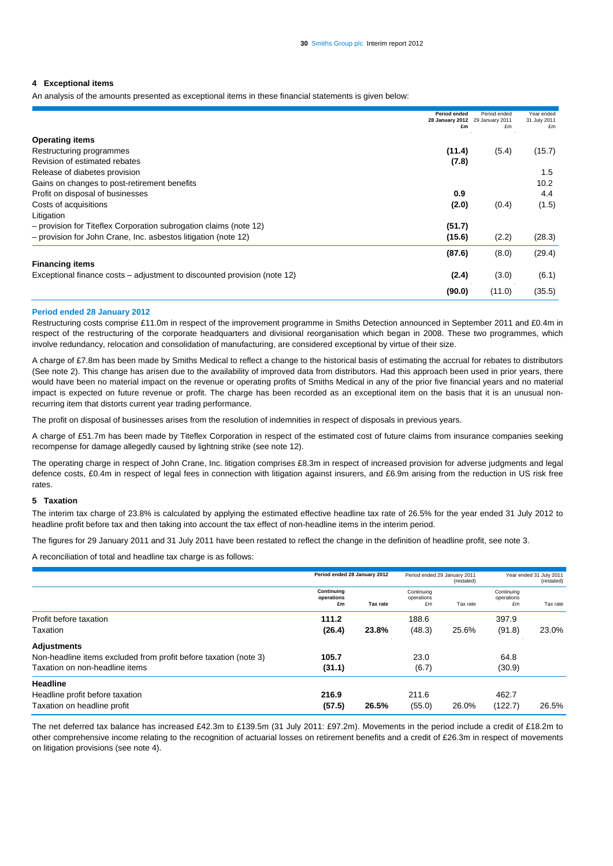#### **4 Exceptional items**

An analysis of the amounts presented as exceptional items in these financial statements is given below:

|                                                                          | Period ended<br>28 January 2012 29 January 2011 | Period ended | Year ended<br>31 July 2011 |
|--------------------------------------------------------------------------|-------------------------------------------------|--------------|----------------------------|
|                                                                          | £m                                              | £m           | £m                         |
| <b>Operating items</b>                                                   |                                                 |              |                            |
| Restructuring programmes                                                 | (11.4)                                          | (5.4)        | (15.7)                     |
| Revision of estimated rebates                                            | (7.8)                                           |              |                            |
| Release of diabetes provision                                            |                                                 |              | 1.5                        |
| Gains on changes to post-retirement benefits                             |                                                 |              | 10.2                       |
| Profit on disposal of businesses                                         | 0.9                                             |              | 4.4                        |
| Costs of acquisitions                                                    | (2.0)                                           | (0.4)        | (1.5)                      |
| Litigation                                                               |                                                 |              |                            |
| - provision for Titeflex Corporation subrogation claims (note 12)        | (51.7)                                          |              |                            |
| - provision for John Crane, Inc. asbestos litigation (note 12)           | (15.6)                                          | (2.2)        | (28.3)                     |
|                                                                          | (87.6)                                          | (8.0)        | (29.4)                     |
| <b>Financing items</b>                                                   |                                                 |              |                            |
| Exceptional finance costs – adjustment to discounted provision (note 12) | (2.4)                                           | (3.0)        | (6.1)                      |
|                                                                          | (90.0)                                          | (11.0)       | (35.5)                     |

#### **Period ended 28 January 2012**

Restructuring costs comprise £11.0m in respect of the improvement programme in Smiths Detection announced in September 2011 and £0.4m in respect of the restructuring of the corporate headquarters and divisional reorganisation which began in 2008. These two programmes, which involve redundancy, relocation and consolidation of manufacturing, are considered exceptional by virtue of their size.

A charge of £7.8m has been made by Smiths Medical to reflect a change to the historical basis of estimating the accrual for rebates to distributors (See note 2). This change has arisen due to the availability of improved data from distributors. Had this approach been used in prior years, there would have been no material impact on the revenue or operating profits of Smiths Medical in any of the prior five financial years and no material impact is expected on future revenue or profit. The charge has been recorded as an exceptional item on the basis that it is an unusual nonrecurring item that distorts current year trading performance.

The profit on disposal of businesses arises from the resolution of indemnities in respect of disposals in previous years.

A charge of £51.7m has been made by Titeflex Corporation in respect of the estimated cost of future claims from insurance companies seeking recompense for damage allegedly caused by lightning strike (see note 12).

The operating charge in respect of John Crane, Inc. litigation comprises £8.3m in respect of increased provision for adverse judgments and legal defence costs, £0.4m in respect of legal fees in connection with litigation against insurers, and £6.9m arising from the reduction in US risk free rates.

#### **5 Taxation**

The interim tax charge of 23.8% is calculated by applying the estimated effective headline tax rate of 26.5% for the year ended 31 July 2012 to headline profit before tax and then taking into account the tax effect of non-headline items in the interim period.

The figures for 29 January 2011 and 31 July 2011 have been restated to reflect the change in the definition of headline profit, see note 3.

A reconciliation of total and headline tax charge is as follows:

|                                                                  | Period ended 28 January 2012   |          | Period ended 29 January 2011<br>(restated) |          | Year ended 31 July 2011<br>(restated) |          |
|------------------------------------------------------------------|--------------------------------|----------|--------------------------------------------|----------|---------------------------------------|----------|
|                                                                  | Continuing<br>operations<br>£m | Tax rate | Continuing<br>operations<br>£m             | Tax rate | Continuing<br>operations<br>£m        | Tax rate |
| Profit before taxation                                           | 111.2                          |          | 188.6                                      |          | 397.9                                 |          |
| Taxation                                                         | (26.4)                         | 23.8%    | (48.3)                                     | 25.6%    | (91.8)                                | 23.0%    |
| <b>Adjustments</b>                                               |                                |          |                                            |          |                                       |          |
| Non-headline items excluded from profit before taxation (note 3) | 105.7                          |          | 23.0                                       |          | 64.8                                  |          |
| Taxation on non-headline items                                   | (31.1)                         |          | (6.7)                                      |          | (30.9)                                |          |
| <b>Headline</b>                                                  |                                |          |                                            |          |                                       |          |
| Headline profit before taxation                                  | 216.9                          |          | 211.6                                      |          | 462.7                                 |          |
| Taxation on headline profit                                      | (57.5)                         | 26.5%    | (55.0)                                     | 26.0%    | (122.7)                               | 26.5%    |

The net deferred tax balance has increased £42.3m to £139.5m (31 July 2011: £97.2m). Movements in the period include a credit of £18.2m to other comprehensive income relating to the recognition of actuarial losses on retirement benefits and a credit of £26.3m in respect of movements on litigation provisions (see note 4).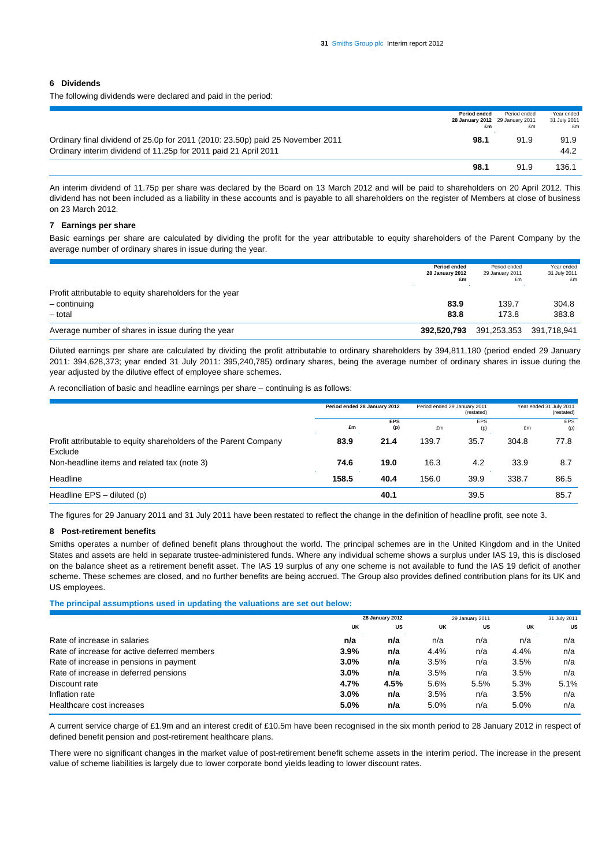#### **6 Dividends**

The following dividends were declared and paid in the period:

|                                                                                                                                                   | Period ended<br>28 January 2012 29 January 2011<br>£m | Period ended<br>£m | Year ended<br>31 July 2011<br>£m |
|---------------------------------------------------------------------------------------------------------------------------------------------------|-------------------------------------------------------|--------------------|----------------------------------|
| Ordinary final dividend of 25.0p for 2011 (2010: 23.50p) paid 25 November 2011<br>Ordinary interim dividend of 11.25p for 2011 paid 21 April 2011 | 98.1                                                  | 91.9               | 91.9<br>44.2                     |
|                                                                                                                                                   | 98.1                                                  | 91.9               | 136.1                            |

An interim dividend of 11.75p per share was declared by the Board on 13 March 2012 and will be paid to shareholders on 20 April 2012. This dividend has not been included as a liability in these accounts and is payable to all shareholders on the register of Members at close of business on 23 March 2012.

#### **7 Earnings per share**

Basic earnings per share are calculated by dividing the profit for the year attributable to equity shareholders of the Parent Company by the average number of ordinary shares in issue during the year.

|                                                         | Period ended<br>28 January 2012<br>£m | Period ended<br>29 January 2011<br>£m | Year ended<br>31 July 2011<br>£m |
|---------------------------------------------------------|---------------------------------------|---------------------------------------|----------------------------------|
| Profit attributable to equity shareholders for the year |                                       |                                       |                                  |
| - continuing                                            | 83.9                                  | 139.7                                 | 304.8                            |
| $-$ total                                               | 83.8                                  | 173.8                                 | 383.8                            |
| Average number of shares in issue during the year       | 392,520,793                           | 391,253,353                           | 391,718,941                      |

Diluted earnings per share are calculated by dividing the profit attributable to ordinary shareholders by 394,811,180 (period ended 29 January 2011: 394,628,373; year ended 31 July 2011: 395,240,785) ordinary shares, being the average number of ordinary shares in issue during the year adjusted by the dilutive effect of employee share schemes.

A reconciliation of basic and headline earnings per share – continuing is as follows:

|                                                                             |       | Period ended 28 January 2012 |       | Period ended 29 January 2011<br>(restated) |       |                   | Year ended 31 July 2011<br>(restated) |  |  |
|-----------------------------------------------------------------------------|-------|------------------------------|-------|--------------------------------------------|-------|-------------------|---------------------------------------|--|--|
|                                                                             | £m    | <b>EPS</b><br>(p)            | £m    | EPS<br>(p)                                 | £m    | <b>EPS</b><br>(p) |                                       |  |  |
| Profit attributable to equity shareholders of the Parent Company<br>Exclude | 83.9  | 21.4                         | 139.7 | 35.7                                       | 304.8 | 77.8              |                                       |  |  |
| Non-headline items and related tax (note 3)                                 | 74.6  | 19.0                         | 16.3  | 4.2                                        | 33.9  | 8.7               |                                       |  |  |
| Headline                                                                    | 158.5 | 40.4                         | 156.0 | 39.9                                       | 338.7 | 86.5              |                                       |  |  |
| Headline $EPS -$ diluted (p)                                                |       | 40.1                         |       | 39.5                                       |       | 85.7              |                                       |  |  |

The figures for 29 January 2011 and 31 July 2011 have been restated to reflect the change in the definition of headline profit, see note 3.

#### **8 Post-retirement benefits**

Smiths operates a number of defined benefit plans throughout the world. The principal schemes are in the United Kingdom and in the United States and assets are held in separate trustee-administered funds. Where any individual scheme shows a surplus under IAS 19, this is disclosed on the balance sheet as a retirement benefit asset. The IAS 19 surplus of any one scheme is not available to fund the IAS 19 deficit of another scheme. These schemes are closed, and no further benefits are being accrued. The Group also provides defined contribution plans for its UK and US employees.

**The principal assumptions used in updating the valuations are set out below:** 

|                                              | <b>28 January 2012</b> |           | 29 January 2011 |      |      | 31 July 2011 |
|----------------------------------------------|------------------------|-----------|-----------------|------|------|--------------|
|                                              | UK                     | <b>US</b> | UK              | US   | UK   | US           |
| Rate of increase in salaries                 | n/a                    | n/a       | n/a             | n/a  | n/a  | n/a          |
| Rate of increase for active deferred members | 3.9%                   | n/a       | 4.4%            | n/a  | 4.4% | n/a          |
| Rate of increase in pensions in payment      | 3.0%                   | n/a       | 3.5%            | n/a  | 3.5% | n/a          |
| Rate of increase in deferred pensions        | 3.0%                   | n/a       | 3.5%            | n/a  | 3.5% | n/a          |
| Discount rate                                | 4.7%                   | 4.5%      | 5.6%            | 5.5% | 5.3% | 5.1%         |
| Inflation rate                               | 3.0%                   | n/a       | 3.5%            | n/a  | 3.5% | n/a          |
| Healthcare cost increases                    | 5.0%                   | n/a       | 5.0%            | n/a  | 5.0% | n/a          |

A current service charge of £1.9m and an interest credit of £10.5m have been recognised in the six month period to 28 January 2012 in respect of defined benefit pension and post-retirement healthcare plans.

There were no significant changes in the market value of post-retirement benefit scheme assets in the interim period. The increase in the present value of scheme liabilities is largely due to lower corporate bond yields leading to lower discount rates.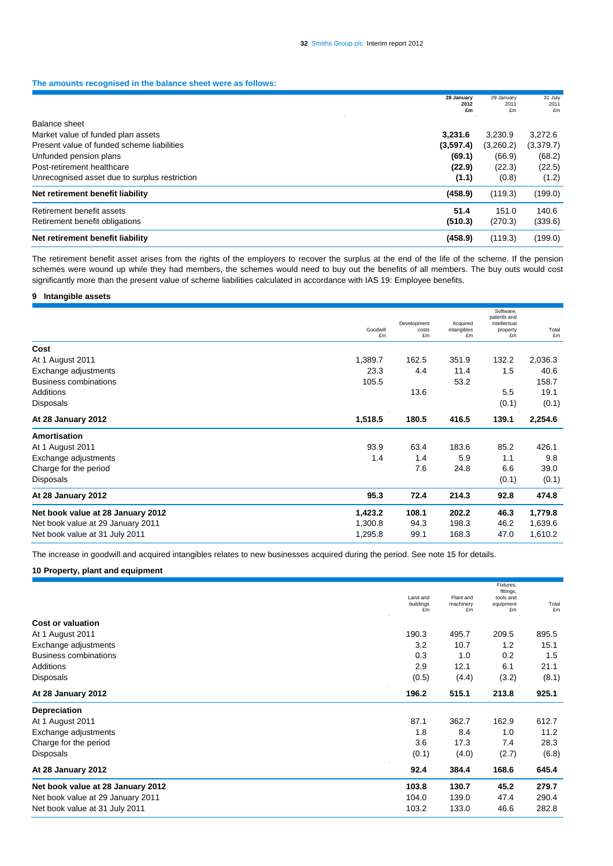#### **The amounts recognised in the balance sheet were as follows:**

|                                               | 28 January | 29 January | 31 July    |
|-----------------------------------------------|------------|------------|------------|
|                                               | 2012<br>£m | 2011<br>£m | 2011<br>£m |
|                                               |            |            |            |
| Balance sheet                                 |            |            |            |
| Market value of funded plan assets            | 3.231.6    | 3,230.9    | 3.272.6    |
| Present value of funded scheme liabilities    | (3,597.4)  | (3,260.2)  | (3,379.7)  |
| Unfunded pension plans                        | (69.1)     | (66.9)     | (68.2)     |
| Post-retirement healthcare                    | (22.9)     | (22.3)     | (22.5)     |
| Unrecognised asset due to surplus restriction | (1.1)      | (0.8)      | (1.2)      |
| Net retirement benefit liability              | (458.9)    | (119.3)    | (199.0)    |
| Retirement benefit assets                     | 51.4       | 151.0      | 140.6      |
| Retirement benefit obligations                | (510.3)    | (270.3)    | (339.6)    |
| Net retirement benefit liability              | (458.9)    | (119.3)    | (199.0)    |
|                                               |            |            |            |

The retirement benefit asset arises from the rights of the employers to recover the surplus at the end of the life of the scheme. If the pension schemes were wound up while they had members, the schemes would need to buy out the benefits of all members. The buy outs would cost significantly more than the present value of scheme liabilities calculated in accordance with IAS 19: Employee benefits.

### **9 Intangible assets**

|                                   | Goodwill<br>£m | Development<br>costs<br>£m | Acquired<br>intangibles<br>£m | Software.<br>patents and<br>intellectual<br>property<br>£m | Total<br>£m |
|-----------------------------------|----------------|----------------------------|-------------------------------|------------------------------------------------------------|-------------|
| Cost                              |                |                            |                               |                                                            |             |
| At 1 August 2011                  | 1,389.7        | 162.5                      | 351.9                         | 132.2                                                      | 2,036.3     |
| Exchange adjustments              | 23.3           | 4.4                        | 11.4                          | 1.5                                                        | 40.6        |
| <b>Business combinations</b>      | 105.5          |                            | 53.2                          |                                                            | 158.7       |
| Additions                         |                | 13.6                       |                               | 5.5                                                        | 19.1        |
| <b>Disposals</b>                  |                |                            |                               | (0.1)                                                      | (0.1)       |
| At 28 January 2012                | 1,518.5        | 180.5                      | 416.5                         | 139.1                                                      | 2,254.6     |
| Amortisation                      |                |                            |                               |                                                            |             |
| At 1 August 2011                  | 93.9           | 63.4                       | 183.6                         | 85.2                                                       | 426.1       |
| Exchange adjustments              | 1.4            | 1.4                        | 5.9                           | 1.1                                                        | 9.8         |
| Charge for the period             |                | 7.6                        | 24.8                          | 6.6                                                        | 39.0        |
| <b>Disposals</b>                  |                |                            |                               | (0.1)                                                      | (0.1)       |
| At 28 January 2012                | 95.3           | 72.4                       | 214.3                         | 92.8                                                       | 474.8       |
| Net book value at 28 January 2012 | 1,423.2        | 108.1                      | 202.2                         | 46.3                                                       | 1,779.8     |
| Net book value at 29 January 2011 | 1,300.8        | 94.3                       | 198.3                         | 46.2                                                       | 1,639.6     |
| Net book value at 31 July 2011    | 1,295.8        | 99.1                       | 168.3                         | 47.0                                                       | 1,610.2     |

The increase in goodwill and acquired intangibles relates to new businesses acquired during the period. See note 15 for details.

#### **10 Property, plant and equipment**

|                                   | Land and<br>buildings<br>£m | Plant and<br>machinery<br>£m | Fixtures,<br>fittings,<br>tools and<br>equipment<br>£m | Total<br>£m |
|-----------------------------------|-----------------------------|------------------------------|--------------------------------------------------------|-------------|
| <b>Cost or valuation</b>          |                             |                              |                                                        |             |
| At 1 August 2011                  | 190.3                       | 495.7                        | 209.5                                                  | 895.5       |
| Exchange adjustments              | 3.2                         | 10.7                         | 1.2                                                    | 15.1        |
| <b>Business combinations</b>      | 0.3                         | 1.0                          | 0.2                                                    | 1.5         |
| Additions                         | 2.9                         | 12.1                         | 6.1                                                    | 21.1        |
| <b>Disposals</b>                  | (0.5)                       | (4.4)                        | (3.2)                                                  | (8.1)       |
| At 28 January 2012                | 196.2                       | 515.1                        | 213.8                                                  | 925.1       |
| <b>Depreciation</b>               |                             |                              |                                                        |             |
| At 1 August 2011                  | 87.1                        | 362.7                        | 162.9                                                  | 612.7       |
| Exchange adjustments              | 1.8                         | 8.4                          | 1.0                                                    | 11.2        |
| Charge for the period             | 3.6                         | 17.3                         | 7.4                                                    | 28.3        |
| <b>Disposals</b>                  | (0.1)                       | (4.0)                        | (2.7)                                                  | (6.8)       |
| At 28 January 2012                | 92.4                        | 384.4                        | 168.6                                                  | 645.4       |
| Net book value at 28 January 2012 | 103.8                       | 130.7                        | 45.2                                                   | 279.7       |
| Net book value at 29 January 2011 | 104.0                       | 139.0                        | 47.4                                                   | 290.4       |
| Net book value at 31 July 2011    | 103.2                       | 133.0                        | 46.6                                                   | 282.8       |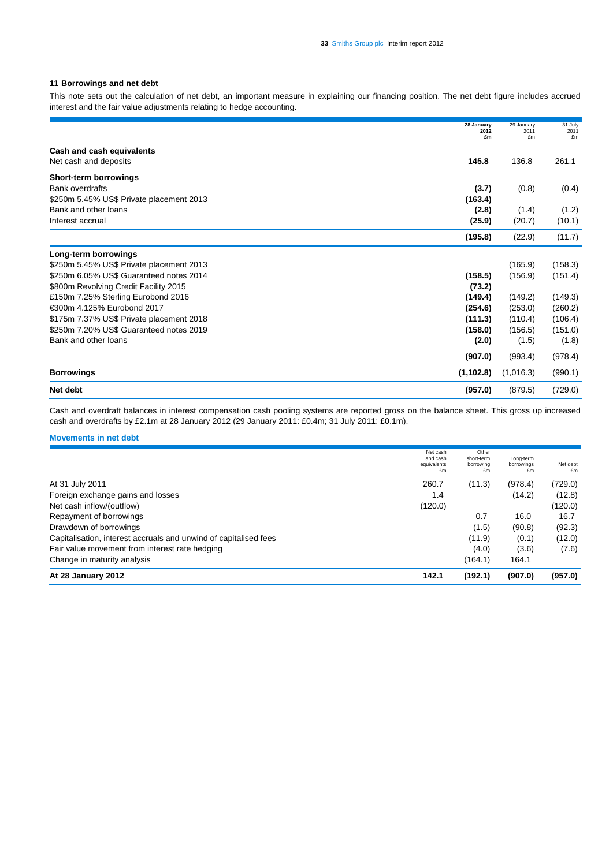#### **11 Borrowings and net debt**

This note sets out the calculation of net debt, an important measure in explaining our financing position. The net debt figure includes accrued interest and the fair value adjustments relating to hedge accounting.

|                                          | 28 January<br>2012<br>£m | 29 January<br>2011<br>£m | 31 July<br>2011<br>£m |
|------------------------------------------|--------------------------|--------------------------|-----------------------|
| Cash and cash equivalents                |                          |                          |                       |
| Net cash and deposits                    | 145.8                    | 136.8                    | 261.1                 |
| Short-term borrowings                    |                          |                          |                       |
| <b>Bank overdrafts</b>                   | (3.7)                    | (0.8)                    | (0.4)                 |
| \$250m 5.45% US\$ Private placement 2013 | (163.4)                  |                          |                       |
| Bank and other loans                     | (2.8)                    | (1.4)                    | (1.2)                 |
| Interest accrual                         | (25.9)                   | (20.7)                   | (10.1)                |
|                                          | (195.8)                  | (22.9)                   | (11.7)                |
| Long-term borrowings                     |                          |                          |                       |
| \$250m 5.45% US\$ Private placement 2013 |                          | (165.9)                  | (158.3)               |
| \$250m 6.05% US\$ Guaranteed notes 2014  | (158.5)                  | (156.9)                  | (151.4)               |
| \$800m Revolving Credit Facility 2015    | (73.2)                   |                          |                       |
| £150m 7.25% Sterling Eurobond 2016       | (149.4)                  | (149.2)                  | (149.3)               |
| €300m 4.125% Eurobond 2017               | (254.6)                  | (253.0)                  | (260.2)               |
| \$175m 7.37% US\$ Private placement 2018 | (111.3)                  | (110.4)                  | (106.4)               |
| \$250m 7.20% US\$ Guaranteed notes 2019  | (158.0)                  | (156.5)                  | (151.0)               |
| Bank and other loans                     | (2.0)                    | (1.5)                    | (1.8)                 |
|                                          | (907.0)                  | (993.4)                  | (978.4)               |
| <b>Borrowings</b>                        | (1, 102.8)               | (1,016.3)                | (990.1)               |
| Net debt                                 | (957.0)                  | (879.5)                  | (729.0)               |

Cash and overdraft balances in interest compensation cash pooling systems are reported gross on the balance sheet. This gross up increased cash and overdrafts by £2.1m at 28 January 2012 (29 January 2011: £0.4m; 31 July 2011: £0.1m).

#### **Movements in net debt**

|                                                                  | Net cash<br>and cash<br>equivalents<br>£m | Other<br>short-term<br>borrowing<br>£m | Long-term<br>borrowings<br>£m | Net debt<br>£m |
|------------------------------------------------------------------|-------------------------------------------|----------------------------------------|-------------------------------|----------------|
| At 31 July 2011                                                  | 260.7                                     | (11.3)                                 | (978.4)                       | (729.0)        |
| Foreign exchange gains and losses                                | 1.4                                       |                                        | (14.2)                        | (12.8)         |
| Net cash inflow/(outflow)                                        | (120.0)                                   |                                        |                               | (120.0)        |
| Repayment of borrowings                                          |                                           | 0.7                                    | 16.0                          | 16.7           |
| Drawdown of borrowings                                           |                                           | (1.5)                                  | (90.8)                        | (92.3)         |
| Capitalisation, interest accruals and unwind of capitalised fees |                                           | (11.9)                                 | (0.1)                         | (12.0)         |
| Fair value movement from interest rate hedging                   |                                           | (4.0)                                  | (3.6)                         | (7.6)          |
| Change in maturity analysis                                      |                                           | (164.1)                                | 164.1                         |                |
| At 28 January 2012                                               | 142.1                                     | (192.1)                                | (907.0)                       | (957.0)        |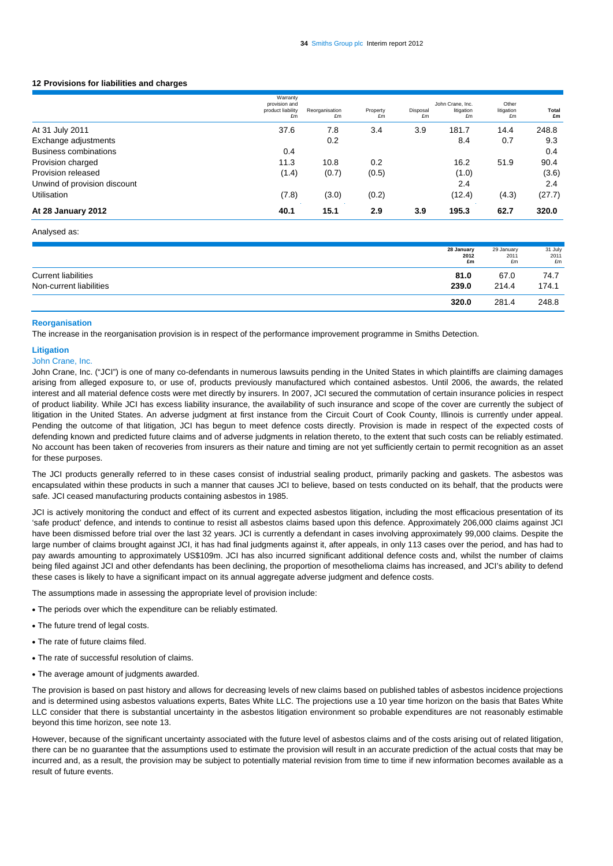#### **12 Provisions for liabilities and charges**

| At 28 January 2012           | 40.1                                                 | 15.1                 | 2.9            | 3.9            | 195.3                                | 62.7                      | 320.0       |
|------------------------------|------------------------------------------------------|----------------------|----------------|----------------|--------------------------------------|---------------------------|-------------|
| <b>Utilisation</b>           | (7.8)                                                | (3.0)                | (0.2)          |                | (12.4)                               | (4.3)                     | (27.7)      |
| Unwind of provision discount |                                                      |                      |                |                | 2.4                                  |                           | 2.4         |
| Provision released           | (1.4)                                                | (0.7)                | (0.5)          |                | (1.0)                                |                           | (3.6)       |
| Provision charged            | 11.3                                                 | 10.8                 | 0.2            |                | 16.2                                 | 51.9                      | 90.4        |
| Business combinations        | 0.4                                                  |                      |                |                |                                      |                           | 0.4         |
| Exchange adjustments         |                                                      | 0.2                  |                |                | 8.4                                  | 0.7                       | 9.3         |
| At 31 July 2011              | 37.6                                                 | 7.8                  | 3.4            | 3.9            | 181.7                                | 14.4                      | 248.8       |
|                              | Warranty<br>provision and<br>product liability<br>£m | Reorganisation<br>£m | Property<br>£m | Disposal<br>£m | John Crane, Inc.<br>litigation<br>£m | Other<br>litigation<br>£m | Total<br>£m |

#### Analysed as:

|                            | 28 January | 29 January | 31 July    |
|----------------------------|------------|------------|------------|
|                            | 2012<br>£m | 2011<br>£m | 2011<br>£m |
| <b>Current liabilities</b> | 81.0       | 67.0       | 74.7       |
| Non-current liabilities    | 239.0      | 214.4      | 174.1      |
|                            | 320.0      | 281.4      | 248.8      |

#### **Reorganisation**

The increase in the reorganisation provision is in respect of the performance improvement programme in Smiths Detection.

#### **Litigation**

#### John Crane, Inc.

John Crane, Inc. ("JCI") is one of many co-defendants in numerous lawsuits pending in the United States in which plaintiffs are claiming damages arising from alleged exposure to, or use of, products previously manufactured which contained asbestos. Until 2006, the awards, the related interest and all material defence costs were met directly by insurers. In 2007, JCI secured the commutation of certain insurance policies in respect of product liability. While JCI has excess liability insurance, the availability of such insurance and scope of the cover are currently the subject of litigation in the United States. An adverse judgment at first instance from the Circuit Court of Cook County, Illinois is currently under appeal. Pending the outcome of that litigation, JCI has begun to meet defence costs directly. Provision is made in respect of the expected costs of defending known and predicted future claims and of adverse judgments in relation thereto, to the extent that such costs can be reliably estimated. No account has been taken of recoveries from insurers as their nature and timing are not yet sufficiently certain to permit recognition as an asset for these purposes.

The JCI products generally referred to in these cases consist of industrial sealing product, primarily packing and gaskets. The asbestos was encapsulated within these products in such a manner that causes JCI to believe, based on tests conducted on its behalf, that the products were safe. JCI ceased manufacturing products containing asbestos in 1985.

JCI is actively monitoring the conduct and effect of its current and expected asbestos litigation, including the most efficacious presentation of its 'safe product' defence, and intends to continue to resist all asbestos claims based upon this defence. Approximately 206,000 claims against JCI have been dismissed before trial over the last 32 years. JCI is currently a defendant in cases involving approximately 99,000 claims. Despite the large number of claims brought against JCI, it has had final judgments against it, after appeals, in only 113 cases over the period, and has had to pay awards amounting to approximately US\$109m. JCI has also incurred significant additional defence costs and, whilst the number of claims being filed against JCI and other defendants has been declining, the proportion of mesothelioma claims has increased, and JCI's ability to defend these cases is likely to have a significant impact on its annual aggregate adverse judgment and defence costs.

The assumptions made in assessing the appropriate level of provision include:

- The periods over which the expenditure can be reliably estimated.
- The future trend of legal costs.
- The rate of future claims filed.
- The rate of successful resolution of claims.
- The average amount of judgments awarded.

The provision is based on past history and allows for decreasing levels of new claims based on published tables of asbestos incidence projections and is determined using asbestos valuations experts, Bates White LLC. The projections use a 10 year time horizon on the basis that Bates White LLC consider that there is substantial uncertainty in the asbestos litigation environment so probable expenditures are not reasonably estimable beyond this time horizon, see note 13.

However, because of the significant uncertainty associated with the future level of asbestos claims and of the costs arising out of related litigation, there can be no guarantee that the assumptions used to estimate the provision will result in an accurate prediction of the actual costs that may be incurred and, as a result, the provision may be subject to potentially material revision from time to time if new information becomes available as a result of future events.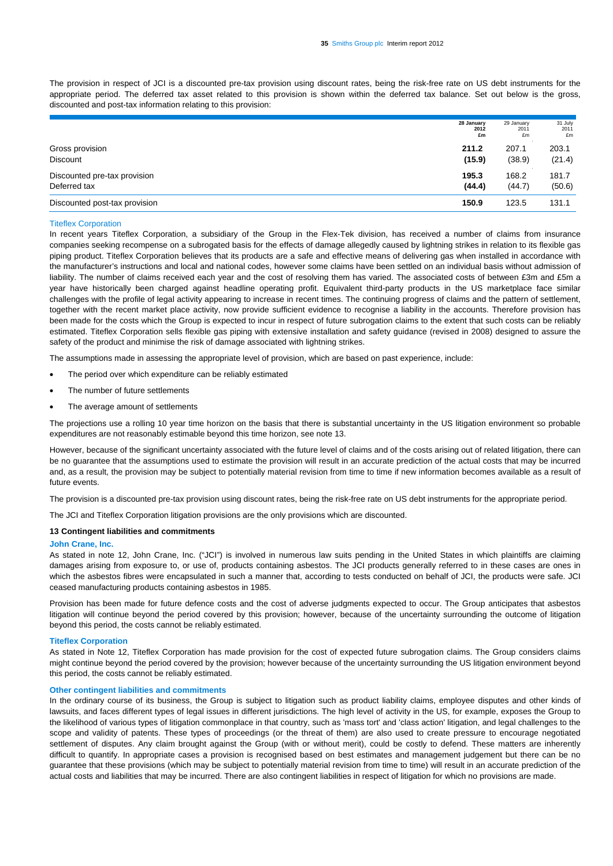The provision in respect of JCI is a discounted pre-tax provision using discount rates, being the risk-free rate on US debt instruments for the appropriate period. The deferred tax asset related to this provision is shown within the deferred tax balance. Set out below is the gross, discounted and post-tax information relating to this provision:

|                               | 28 January | 29 January | 31 July |
|-------------------------------|------------|------------|---------|
|                               | 2012       | 2011       | 2011    |
|                               | £m         | £m         | £m      |
| Gross provision               | 211.2      | 207.1      | 203.1   |
| <b>Discount</b>               | (15.9)     | (38.9)     | (21.4)  |
| Discounted pre-tax provision  | 195.3      | 168.2      | 181.7   |
| Deferred tax                  | (44.4)     | (44.7)     | (50.6)  |
| Discounted post-tax provision | 150.9      | 123.5      | 131.1   |

#### Titeflex Corporation

In recent years Titeflex Corporation, a subsidiary of the Group in the Flex-Tek division, has received a number of claims from insurance companies seeking recompense on a subrogated basis for the effects of damage allegedly caused by lightning strikes in relation to its flexible gas piping product. Titeflex Corporation believes that its products are a safe and effective means of delivering gas when installed in accordance with the manufacturer's instructions and local and national codes, however some claims have been settled on an individual basis without admission of liability. The number of claims received each year and the cost of resolving them has varied. The associated costs of between £3m and £5m a year have historically been charged against headline operating profit. Equivalent third-party products in the US marketplace face similar challenges with the profile of legal activity appearing to increase in recent times. The continuing progress of claims and the pattern of settlement, together with the recent market place activity, now provide sufficient evidence to recognise a liability in the accounts. Therefore provision has been made for the costs which the Group is expected to incur in respect of future subrogation claims to the extent that such costs can be reliably estimated. Titeflex Corporation sells flexible gas piping with extensive installation and safety guidance (revised in 2008) designed to assure the safety of the product and minimise the risk of damage associated with lightning strikes.

The assumptions made in assessing the appropriate level of provision, which are based on past experience, include:

- The period over which expenditure can be reliably estimated
- The number of future settlements
- The average amount of settlements

The projections use a rolling 10 year time horizon on the basis that there is substantial uncertainty in the US litigation environment so probable expenditures are not reasonably estimable beyond this time horizon, see note 13.

However, because of the significant uncertainty associated with the future level of claims and of the costs arising out of related litigation, there can be no guarantee that the assumptions used to estimate the provision will result in an accurate prediction of the actual costs that may be incurred and, as a result, the provision may be subject to potentially material revision from time to time if new information becomes available as a result of future events.

The provision is a discounted pre-tax provision using discount rates, being the risk-free rate on US debt instruments for the appropriate period.

The JCI and Titeflex Corporation litigation provisions are the only provisions which are discounted.

#### **13 Contingent liabilities and commitments**

#### **John Crane, Inc.**

As stated in note 12, John Crane, Inc. ("JCI") is involved in numerous law suits pending in the United States in which plaintiffs are claiming damages arising from exposure to, or use of, products containing asbestos. The JCI products generally referred to in these cases are ones in which the asbestos fibres were encapsulated in such a manner that, according to tests conducted on behalf of JCI, the products were safe. JCI ceased manufacturing products containing asbestos in 1985.

Provision has been made for future defence costs and the cost of adverse judgments expected to occur. The Group anticipates that asbestos litigation will continue beyond the period covered by this provision; however, because of the uncertainty surrounding the outcome of litigation beyond this period, the costs cannot be reliably estimated.

#### **Titeflex Corporation**

As stated in Note 12, Titeflex Corporation has made provision for the cost of expected future subrogation claims. The Group considers claims might continue beyond the period covered by the provision; however because of the uncertainty surrounding the US litigation environment beyond this period, the costs cannot be reliably estimated.

#### **Other contingent liabilities and commitments**

In the ordinary course of its business, the Group is subject to litigation such as product liability claims, employee disputes and other kinds of lawsuits, and faces different types of legal issues in different jurisdictions. The high level of activity in the US, for example, exposes the Group to the likelihood of various types of litigation commonplace in that country, such as 'mass tort' and 'class action' litigation, and legal challenges to the scope and validity of patents. These types of proceedings (or the threat of them) are also used to create pressure to encourage negotiated settlement of disputes. Any claim brought against the Group (with or without merit), could be costly to defend. These matters are inherently difficult to quantify. In appropriate cases a provision is recognised based on best estimates and management judgement but there can be no guarantee that these provisions (which may be subject to potentially material revision from time to time) will result in an accurate prediction of the actual costs and liabilities that may be incurred. There are also contingent liabilities in respect of litigation for which no provisions are made.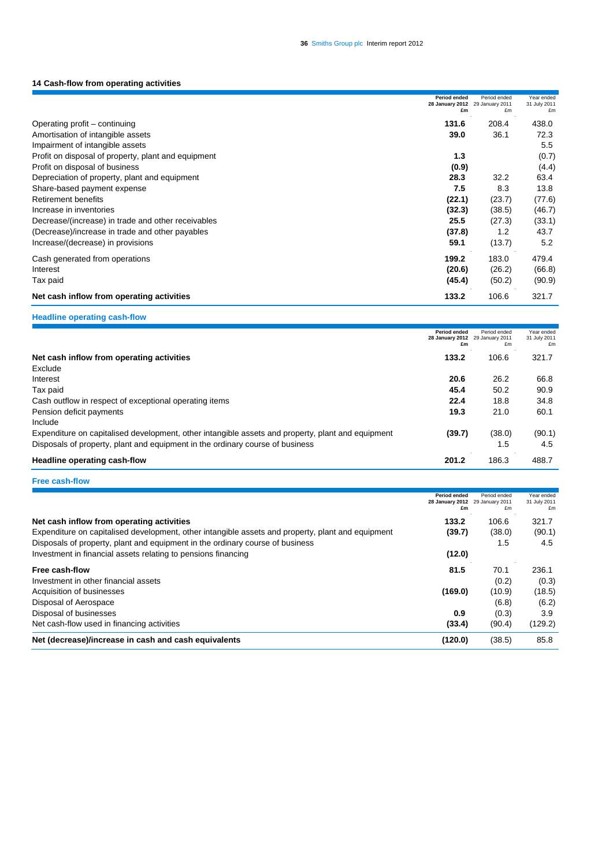### **14 Cash-flow from operating activities**

|                                                     | Period ended<br>28 January 2012<br>£m | Period ended<br>29 January 2011<br>£m | Year ended<br>31 July 2011<br>£m |
|-----------------------------------------------------|---------------------------------------|---------------------------------------|----------------------------------|
| Operating profit – continuing                       | 131.6                                 | 208.4                                 | 438.0                            |
| Amortisation of intangible assets                   | 39.0                                  | 36.1                                  | 72.3                             |
| Impairment of intangible assets                     |                                       |                                       | 5.5                              |
| Profit on disposal of property, plant and equipment | 1.3                                   |                                       | (0.7)                            |
| Profit on disposal of business                      | (0.9)                                 |                                       | (4.4)                            |
| Depreciation of property, plant and equipment       | 28.3                                  | 32.2                                  | 63.4                             |
| Share-based payment expense                         | 7.5                                   | 8.3                                   | 13.8                             |
| Retirement benefits                                 | (22.1)                                | (23.7)                                | (77.6)                           |
| Increase in inventories                             | (32.3)                                | (38.5)                                | (46.7)                           |
| Decrease/(increase) in trade and other receivables  | 25.5                                  | (27.3)                                | (33.1)                           |
| (Decrease)/increase in trade and other payables     | (37.8)                                | 1.2                                   | 43.7                             |
| Increase/(decrease) in provisions                   | 59.1                                  | (13.7)                                | 5.2                              |
| Cash generated from operations                      | 199.2                                 | 183.0                                 | 479.4                            |
| Interest                                            | (20.6)                                | (26.2)                                | (66.8)                           |
| Tax paid                                            | (45.4)                                | (50.2)                                | (90.9)                           |
| Net cash inflow from operating activities           | 133.2                                 | 106.6                                 | 321.7                            |

**Headline operating cash-flow** 

|                                                                                                   | Period ended<br>28 January 2012<br>£m | Period ended<br>29 January 2011<br>£m | Year ended<br>31 July 2011<br>£m |
|---------------------------------------------------------------------------------------------------|---------------------------------------|---------------------------------------|----------------------------------|
| Net cash inflow from operating activities                                                         | 133.2                                 | 106.6                                 | 321.7                            |
| Exclude                                                                                           |                                       |                                       |                                  |
| Interest                                                                                          | 20.6                                  | 26.2                                  | 66.8                             |
| Tax paid                                                                                          | 45.4                                  | 50.2                                  | 90.9                             |
| Cash outflow in respect of exceptional operating items                                            | 22.4                                  | 18.8                                  | 34.8                             |
| Pension deficit payments                                                                          | 19.3                                  | 21.0                                  | 60.1                             |
| Include                                                                                           |                                       |                                       |                                  |
| Expenditure on capitalised development, other intangible assets and property, plant and equipment | (39.7)                                | (38.0)                                | (90.1)                           |
| Disposals of property, plant and equipment in the ordinary course of business                     |                                       | 1.5                                   | 4.5                              |
| <b>Headline operating cash-flow</b>                                                               | 201.2                                 | 186.3                                 | 488.7                            |

**Free cash-flow** 

|                                                                                                   | Period ended<br>28 January 2012<br>£m | Period ended<br>29 January 2011<br>£m | Year ended<br>31 July 2011<br>£m |
|---------------------------------------------------------------------------------------------------|---------------------------------------|---------------------------------------|----------------------------------|
| Net cash inflow from operating activities                                                         | 133.2                                 | 106.6                                 | 321.7                            |
| Expenditure on capitalised development, other intangible assets and property, plant and equipment | (39.7)                                | (38.0)                                | (90.1)                           |
| Disposals of property, plant and equipment in the ordinary course of business                     |                                       | 1.5                                   | 4.5                              |
| Investment in financial assets relating to pensions financing                                     | (12.0)                                |                                       |                                  |
| Free cash-flow                                                                                    | 81.5                                  | 70.1                                  | 236.1                            |
| Investment in other financial assets                                                              |                                       | (0.2)                                 | (0.3)                            |
| Acquisition of businesses                                                                         | (169.0)                               | (10.9)                                | (18.5)                           |
| Disposal of Aerospace                                                                             |                                       | (6.8)                                 | (6.2)                            |
| Disposal of businesses                                                                            | 0.9                                   | (0.3)                                 | 3.9                              |
| Net cash-flow used in financing activities                                                        | (33.4)                                | (90.4)                                | (129.2)                          |
| Net (decrease)/increase in cash and cash equivalents                                              | (120.0)                               | (38.5)                                | 85.8                             |